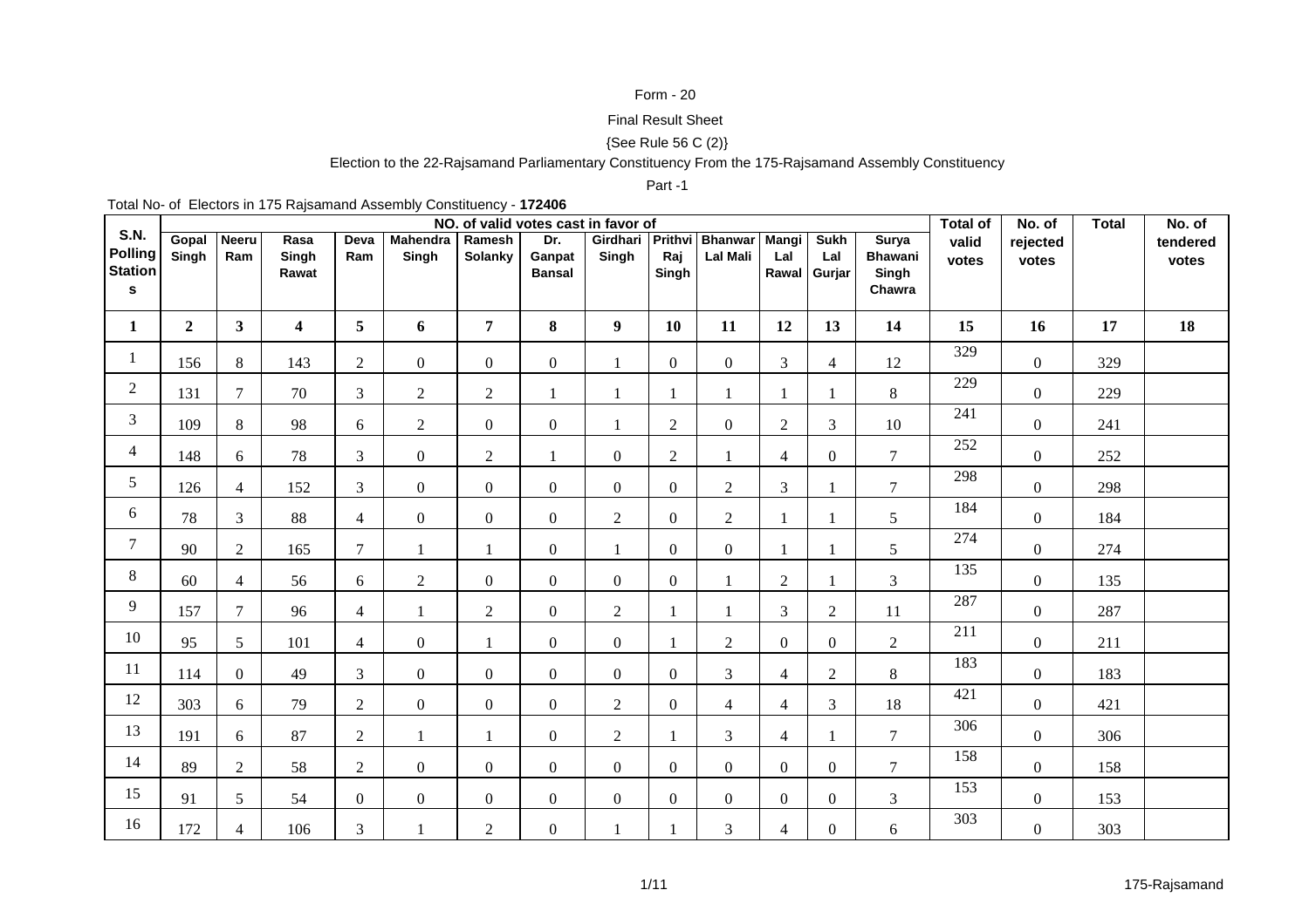## Form - 20

# Final Result Sheet

# {See Rule 56 C (2)}

### Election to the 22-Rajsamand Parliamentary Constituency From the 175-Rajsamand Assembly Constituency

#### Part -1

Total No- of Electors in 175 Rajsamand Assembly Constituency - **172406**

|                                                      |                |                     |                         |                |                   |                   | NO. of valid votes cast in favor of |                           |                  |                                   |                     |                             |                                            | <b>Total of</b>  | No. of            | <b>Total</b> | No. of            |
|------------------------------------------------------|----------------|---------------------|-------------------------|----------------|-------------------|-------------------|-------------------------------------|---------------------------|------------------|-----------------------------------|---------------------|-----------------------------|--------------------------------------------|------------------|-------------------|--------------|-------------------|
| <b>S.N.</b><br><b>Polling</b><br><b>Station</b><br>s | Gopal<br>Singh | <b>Neeru</b><br>Ram | Rasa<br>Singh<br>Rawat  | Deva<br>Ram    | Mahendra<br>Singh | Ramesh<br>Solanky | Dr.<br>Ganpat<br><b>Bansal</b>      | Girdhari Prithvi<br>Singh | Raj<br>Singh     | <b>Bhanwar</b><br><b>Lal Mali</b> | <b>Mangi</b><br>Lal | Sukh<br>Lal<br>Rawal Gurjar | Surya<br><b>Bhawani</b><br>Singh<br>Chawra | valid<br>votes   | rejected<br>votes |              | tendered<br>votes |
| $\mathbf{1}$                                         | $\overline{2}$ | 3 <sup>1</sup>      | $\overline{\mathbf{4}}$ | 5 <sup>5</sup> | 6                 | $\overline{7}$    | 8                                   | 9 <sup>1</sup>            | 10               | 11                                | 12                  | 13                          | 14                                         | 15               | 16                | 17           | 18                |
| 1                                                    | 156            | 8                   | 143                     | $\overline{2}$ | $\overline{0}$    | $\overline{0}$    | $\overline{0}$                      | $\mathbf{1}$              | $\overline{0}$   | $\overline{0}$                    | 3                   | $\overline{4}$              | 12                                         | 329              | $\overline{0}$    | 329          |                   |
| $\overline{2}$                                       | 131            | $\tau$              | 70                      | $\mathfrak{Z}$ | $\overline{2}$    | $\overline{2}$    |                                     | $\mathbf{1}$              |                  |                                   |                     | 1                           | 8                                          | 229              | $\overline{0}$    | 229          |                   |
| 3                                                    | 109            | 8                   | 98                      | 6              | $\overline{2}$    | $\overline{0}$    | $\overline{0}$                      | 1                         | $\overline{2}$   | $\overline{0}$                    | $\overline{2}$      | 3                           | $10\,$                                     | $\overline{241}$ | $\overline{0}$    | 241          |                   |
| $\overline{4}$                                       | 148            | 6                   | 78                      | $\overline{3}$ | $\Omega$          | $\overline{2}$    | $\mathbf{1}$                        | $\overline{0}$            | 2                | $\mathbf{1}$                      | $\overline{4}$      | $\overline{0}$              | $\overline{7}$                             | 252              | $\overline{0}$    | 252          |                   |
| $5\overline{)}$                                      | 126            | $\overline{4}$      | 152                     | $\mathfrak{Z}$ | $\overline{0}$    | $\overline{0}$    | $\overline{0}$                      | $\overline{0}$            | $\overline{0}$   | 2                                 | 3                   | 1                           | $\tau$                                     | 298              | $\overline{0}$    | 298          |                   |
| 6                                                    | 78             | $\mathfrak{Z}$      | 88                      | $\overline{4}$ | $\mathbf{0}$      | $\boldsymbol{0}$  | $\overline{0}$                      | $\sqrt{2}$                | $\boldsymbol{0}$ | $\overline{2}$                    |                     | 1                           | 5                                          | 184              | $\overline{0}$    | 184          |                   |
| $\tau$                                               | 90             | $\overline{2}$      | 165                     | $\tau$         | $\mathbf{1}$      | $\mathbf{1}$      | $\overline{0}$                      | $\mathbf{1}$              | $\theta$         | $\overline{0}$                    |                     | 1                           | $\mathfrak{S}$                             | 274              | $\overline{0}$    | 274          |                   |
| 8                                                    | 60             | $\overline{4}$      | 56                      | 6              | $\overline{2}$    | $\mathbf{0}$      | $\overline{0}$                      | $\overline{0}$            | $\overline{0}$   | 1                                 | $\overline{2}$      | 1                           | $\mathfrak{Z}$                             | 135              | $\overline{0}$    | 135          |                   |
| 9                                                    | 157            | $\tau$              | 96                      | $\overline{4}$ | $\mathbf{1}$      | $\overline{2}$    | $\overline{0}$                      | $\overline{2}$            |                  | 1                                 | $\mathfrak{Z}$      | $\overline{2}$              | 11                                         | 287              | $\overline{0}$    | 287          |                   |
| 10                                                   | 95             | $5\overline{)}$     | 101                     | $\overline{4}$ | $\overline{0}$    | $\mathbf{1}$      | $\overline{0}$                      | $\overline{0}$            |                  | $\overline{2}$                    | $\overline{0}$      | $\boldsymbol{0}$            | $\overline{2}$                             | 211              | $\overline{0}$    | 211          |                   |
| 11                                                   | 114            | $\Omega$            | 49                      | $\mathfrak{Z}$ | $\Omega$          | $\theta$          | $\theta$                            | $\overline{0}$            | $\theta$         | $\overline{3}$                    | $\overline{4}$      | $\overline{2}$              | 8                                          | 183              | $\overline{0}$    | 183          |                   |
| 12                                                   | 303            | 6                   | 79                      | $\overline{2}$ | $\overline{0}$    | $\overline{0}$    | $\overline{0}$                      | $\overline{2}$            | $\overline{0}$   | $\overline{4}$                    | $\overline{4}$      | 3                           | 18                                         | 421              | $\overline{0}$    | 421          |                   |
| 13                                                   | 191            | 6                   | 87                      | $\overline{2}$ |                   |                   | $\overline{0}$                      | $\overline{2}$            |                  | $\mathfrak{Z}$                    | $\overline{4}$      | 1                           | $\boldsymbol{7}$                           | 306              | $\overline{0}$    | 306          |                   |
| 14                                                   | 89             | $\overline{2}$      | 58                      | $\overline{2}$ | $\mathbf{0}$      | $\overline{0}$    | $\theta$                            | $\overline{0}$            | $\theta$         | $\overline{0}$                    | $\overline{0}$      | $\overline{0}$              | $\tau$                                     | 158              | $\overline{0}$    | 158          |                   |
| 15                                                   | 91             | 5 <sup>5</sup>      | 54                      | $\overline{0}$ | $\overline{0}$    | $\boldsymbol{0}$  | $\overline{0}$                      | $\overline{0}$            | $\overline{0}$   | $\overline{0}$                    | $\overline{0}$      | $\overline{0}$              | $\mathfrak{Z}$                             | 153              | $\overline{0}$    | 153          |                   |
| 16                                                   | 172            | $\overline{4}$      | 106                     | 3              |                   | $\overline{2}$    | $\overline{0}$                      | 1                         |                  | 3                                 | $\overline{4}$      | $\boldsymbol{0}$            | 6                                          | 303              | $\overline{0}$    | 303          |                   |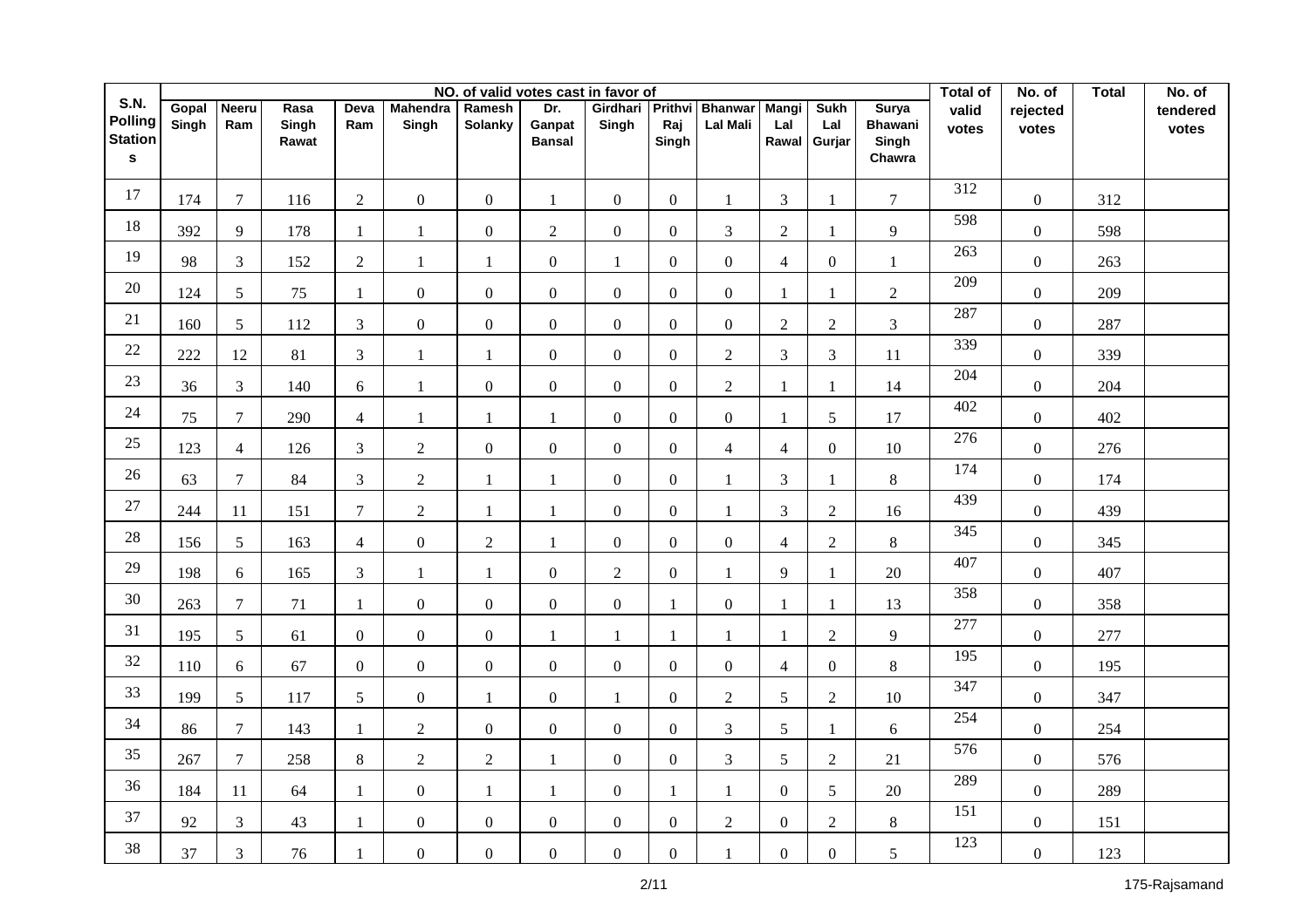|                                                         |                |                     |                        |                 |                          |                   |                                | NO. of valid votes cast in favor of |                         |                                   |                              |                              |                                                   | <b>Total of</b>  | No. of            | <b>Total</b> | No. of            |
|---------------------------------------------------------|----------------|---------------------|------------------------|-----------------|--------------------------|-------------------|--------------------------------|-------------------------------------|-------------------------|-----------------------------------|------------------------------|------------------------------|---------------------------------------------------|------------------|-------------------|--------------|-------------------|
| S.N.<br><b>Polling</b><br><b>Station</b><br>$\mathbf s$ | Gopal<br>Singh | <b>Neeru</b><br>Ram | Rasa<br>Singh<br>Rawat | Deva<br>Ram     | <b>Mahendra</b><br>Singh | Ramesh<br>Solanky | Dr.<br>Ganpat<br><b>Bansal</b> | Girdhari<br>Singh                   | Prithvi<br>Raj<br>Singh | <b>Bhanwar</b><br><b>Lal Mali</b> | <b>Mangi</b><br>Lal<br>Rawal | <b>Sukh</b><br>Lal<br>Gurjar | <b>Surya</b><br><b>Bhawani</b><br>Singh<br>Chawra | valid<br>votes   | rejected<br>votes |              | tendered<br>votes |
| 17                                                      |                |                     |                        |                 |                          |                   |                                |                                     |                         |                                   |                              |                              |                                                   | 312              |                   |              |                   |
|                                                         | 174            | $\overline{7}$      | 116                    | $\overline{2}$  | $\boldsymbol{0}$         | $\mathbf{0}$      | $\mathbf{1}$                   | $\overline{0}$                      | $\overline{0}$          | $\mathbf{1}$                      | $\overline{3}$               | 1                            | $\tau$                                            | 598              | $\boldsymbol{0}$  | 312          |                   |
| 18                                                      | 392            | 9                   | 178                    | -1              | 1                        | $\boldsymbol{0}$  | $\overline{2}$                 | $\boldsymbol{0}$                    | $\overline{0}$          | 3                                 | $\overline{2}$               | $\mathbf{1}$                 | 9                                                 |                  | $\boldsymbol{0}$  | 598          |                   |
| 19                                                      | 98             | $\mathfrak{Z}$      | 152                    | $\overline{2}$  | $\mathbf{1}$             | $\mathbf{1}$      | $\boldsymbol{0}$               | $\mathbf{1}$                        | $\overline{0}$          | $\boldsymbol{0}$                  | $\overline{4}$               | $\overline{0}$               | $\mathbf{1}$                                      | 263              | $\boldsymbol{0}$  | 263          |                   |
| $20\,$                                                  | 124            | 5 <sup>5</sup>      | 75                     | $\mathbf{1}$    | $\boldsymbol{0}$         | $\mathbf{0}$      | $\overline{0}$                 | $\boldsymbol{0}$                    | $\Omega$                | $\boldsymbol{0}$                  | $\mathbf{1}$                 | $\mathbf{1}$                 | $\overline{2}$                                    | 209              | $\boldsymbol{0}$  | 209          |                   |
| 21                                                      | 160            | $5\overline{)}$     | 112                    | 3               | $\overline{0}$           | $\boldsymbol{0}$  | $\mathbf{0}$                   | $\overline{0}$                      | $\Omega$                | $\overline{0}$                    | $\overline{2}$               | $\overline{2}$               | $\mathfrak{Z}$                                    | 287              | $\boldsymbol{0}$  | 287          |                   |
| 22                                                      | 222            | 12                  | 81                     | $\overline{3}$  | $\mathbf{1}$             | $\mathbf{1}$      | $\overline{0}$                 | $\overline{0}$                      | $\Omega$                | $\overline{2}$                    | $\overline{3}$               | 3                            | 11                                                | 339              | $\overline{0}$    | 339          |                   |
| 23                                                      | 36             | $\mathfrak{Z}$      | 140                    | 6               | $\mathbf{1}$             | $\boldsymbol{0}$  | $\mathbf{0}$                   | $\boldsymbol{0}$                    | $\overline{0}$          | $\overline{2}$                    | 1                            | $\mathbf{1}$                 | 14                                                | 204              | $\boldsymbol{0}$  | 204          |                   |
| 24                                                      | 75             | $\overline{7}$      | 290                    | $\overline{4}$  | $\mathbf{1}$             | 1                 | $\mathbf{1}$                   | $\mathbf{0}$                        | $\Omega$                | $\mathbf{0}$                      | 1                            | 5                            | 17                                                | 402              | $\overline{0}$    | 402          |                   |
| 25                                                      | 123            | $\overline{4}$      | 126                    | $\overline{3}$  | $\overline{2}$           | $\mathbf{0}$      | $\overline{0}$                 | $\overline{0}$                      | $\overline{0}$          | $\overline{4}$                    | $\overline{4}$               | $\overline{0}$               | $10\,$                                            | $\overline{276}$ | $\overline{0}$    | 276          |                   |
| 26                                                      | 63             | $\overline{7}$      | 84                     | $\mathfrak{Z}$  | $\overline{2}$           | 1                 | $\mathbf{1}$                   | $\boldsymbol{0}$                    | $\overline{0}$          | $\mathbf{1}$                      | $\overline{3}$               | $\mathbf{1}$                 | 8                                                 | 174              | $\boldsymbol{0}$  | 174          |                   |
| $27\,$                                                  | 244            | 11                  | 151                    | $\tau$          | $\overline{2}$           | $\mathbf{1}$      | $\mathbf{1}$                   | $\boldsymbol{0}$                    | $\overline{0}$          | $\mathbf{1}$                      | $\overline{3}$               | $\overline{2}$               | 16                                                | 439              | $\overline{0}$    | 439          |                   |
| $28\,$                                                  | 156            | 5 <sup>5</sup>      | 163                    | $\overline{4}$  | $\overline{0}$           | $\overline{c}$    | $\mathbf{1}$                   | $\mathbf{0}$                        | $\Omega$                | $\overline{0}$                    | $\overline{4}$               | $\overline{2}$               | 8                                                 | 345              | $\overline{0}$    | 345          |                   |
| 29                                                      | 198            | 6                   | 165                    | 3               | $\mathbf{1}$             | $\mathbf{1}$      | $\overline{0}$                 | $\overline{2}$                      | $\overline{0}$          | $\mathbf{1}$                      | 9                            | $\mathbf{1}$                 | $20\,$                                            | 407              | $\overline{0}$    | 407          |                   |
| 30                                                      | 263            | $\overline{7}$      | 71                     | $\mathbf{1}$    | $\overline{0}$           | $\boldsymbol{0}$  | $\overline{0}$                 | $\overline{0}$                      | $\mathbf{1}$            | $\overline{0}$                    | 1                            | $\mathbf{1}$                 | 13                                                | 358              | $\overline{0}$    | 358          |                   |
| 31                                                      | 195            | 5 <sup>5</sup>      | 61                     | $\overline{0}$  | $\overline{0}$           | $\boldsymbol{0}$  | $\mathbf{1}$                   | $\mathbf{1}$                        | $\mathbf{1}$            | 1                                 | $\mathbf{1}$                 | $\overline{2}$               | 9                                                 | 277              | $\overline{0}$    | 277          |                   |
| 32                                                      | 110            | 6                   | 67                     | $\overline{0}$  | $\overline{0}$           | $\boldsymbol{0}$  | $\overline{0}$                 | $\overline{0}$                      | $\overline{0}$          | $\overline{0}$                    | $\overline{4}$               | $\overline{0}$               | $8\,$                                             | 195              | $\overline{0}$    | 195          |                   |
| 33                                                      | 199            | $5\overline{)}$     | 117                    | $5\overline{)}$ | $\overline{0}$           | $\mathbf{1}$      | $\overline{0}$                 | $\mathbf{1}$                        | $\overline{0}$          | $\overline{2}$                    | 5                            | $\overline{2}$               | 10                                                | 347              | $\overline{0}$    | 347          |                   |
| 34                                                      | 86             | $\overline{7}$      | 143                    | $\mathbf{1}$    | $\overline{2}$           | $\boldsymbol{0}$  | $\overline{0}$                 | $\boldsymbol{0}$                    | $\overline{0}$          | 3                                 | 5                            | $\mathbf{1}$                 | 6                                                 | 254              | $\overline{0}$    | 254          |                   |
| 35                                                      | 267            | $\overline{7}$      | 258                    | $8\phantom{.}$  | $\overline{2}$           | $\overline{2}$    | 1                              | $\boldsymbol{0}$                    | $\overline{0}$          | $\overline{3}$                    | 5                            | $\overline{2}$               | $21\,$                                            | 576              | $\overline{0}$    | 576          |                   |
| 36                                                      | 184            | 11                  | 64                     | $\mathbf{1}$    | $\overline{0}$           | 1                 | $\mathbf{1}$                   | $\mathbf{0}$                        | $\mathbf{1}$            | $\mathbf{1}$                      | $\overline{0}$               | $\mathfrak{S}$               | $20\,$                                            | 289              | $\boldsymbol{0}$  | 289          |                   |
| 37                                                      | 92             | $\mathfrak{Z}$      | 43                     | $\mathbf{1}$    | $\overline{0}$           | $\mathbf{0}$      | $\overline{0}$                 | $\boldsymbol{0}$                    | $\overline{0}$          | $\overline{2}$                    | $\overline{0}$               | $\overline{2}$               | 8                                                 | 151              | $\boldsymbol{0}$  | 151          |                   |
| 38                                                      | 37             | $\mathfrak{Z}$      | 76                     | $\mathbf{1}$    | $\boldsymbol{0}$         | $\boldsymbol{0}$  | $\overline{0}$                 | $\boldsymbol{0}$                    | $\boldsymbol{0}$        | $\mathbf{1}$                      | $\overline{0}$               | $\overline{0}$               | 5                                                 | 123              | $\boldsymbol{0}$  | 123          |                   |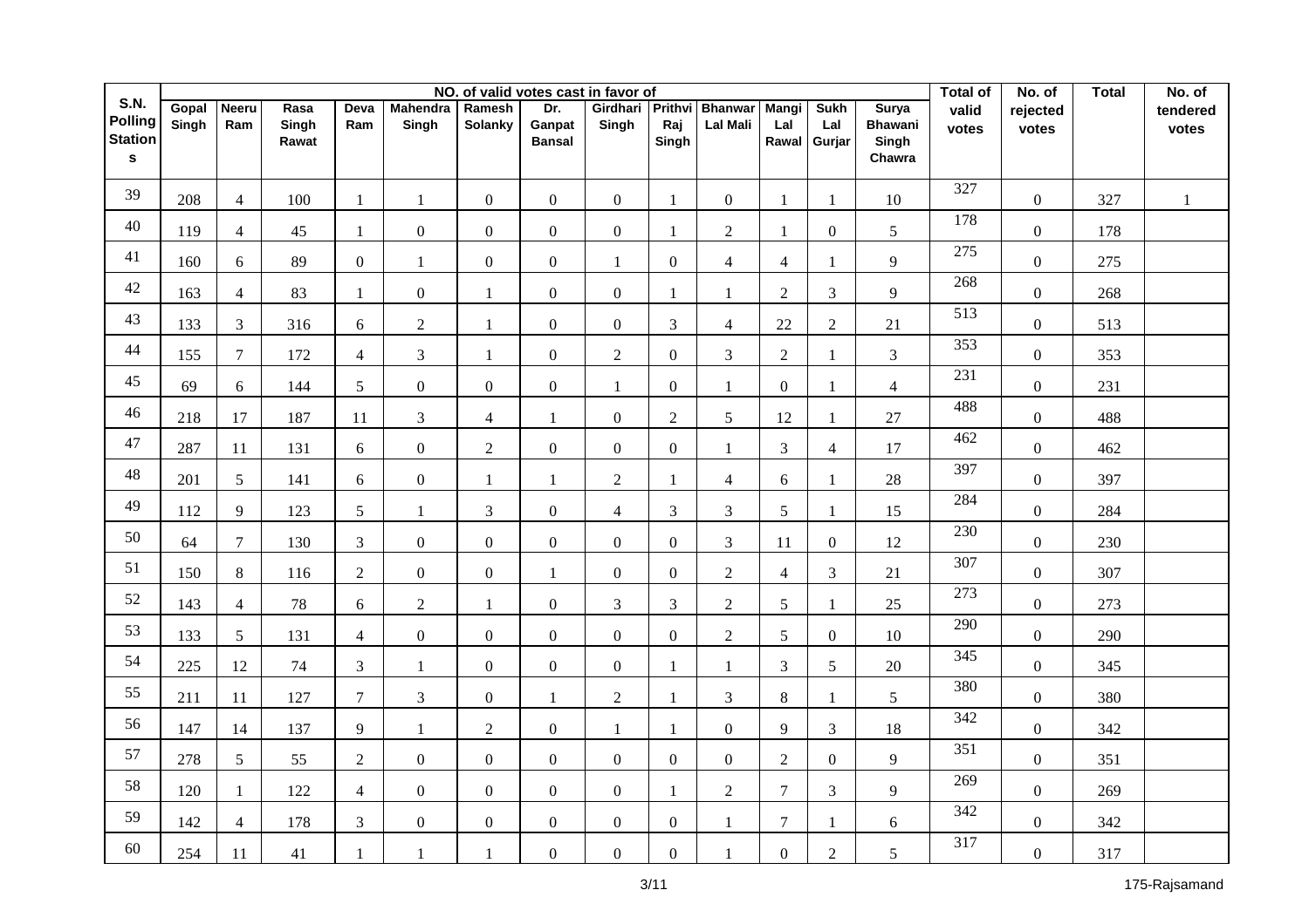|                                               | NO. of valid votes cast in favor of |                     |                        |                |                          |                          |                                |                   |                         |                                   |                       |                              |                                                   | <b>Total of</b>  | No. of            | <b>Total</b> | No. of            |
|-----------------------------------------------|-------------------------------------|---------------------|------------------------|----------------|--------------------------|--------------------------|--------------------------------|-------------------|-------------------------|-----------------------------------|-----------------------|------------------------------|---------------------------------------------------|------------------|-------------------|--------------|-------------------|
| <b>S.N.</b><br>Polling<br><b>Station</b><br>s | Gopal<br>Singh                      | <b>Neeru</b><br>Ram | Rasa<br>Singh<br>Rawat | Deva<br>Ram    | <b>Mahendra</b><br>Singh | Ramesh<br><b>Solanky</b> | Dr.<br>Ganpat<br><b>Bansal</b> | Girdhari<br>Singh | Prithvi<br>Raj<br>Singh | <b>Bhanwar</b><br><b>Lal Mali</b> | Mangi<br>Lal<br>Rawal | <b>Sukh</b><br>Lal<br>Gurjar | <b>Surya</b><br><b>Bhawani</b><br>Singh<br>Chawra | valid<br>votes   | rejected<br>votes |              | tendered<br>votes |
| 39                                            | 208                                 | $\overline{4}$      | 100                    | 1              | 1                        | $\boldsymbol{0}$         | $\mathbf{0}$                   | $\boldsymbol{0}$  | 1                       | $\overline{0}$                    | $\mathbf{1}$          | $\mathbf{1}$                 | $10\,$                                            | 327              | $\overline{0}$    | 327          | $\mathbf{1}$      |
| 40                                            | 119                                 | $\overline{4}$      | 45                     | 1              | $\overline{0}$           | $\boldsymbol{0}$         | $\boldsymbol{0}$               | $\boldsymbol{0}$  | -1                      | $\overline{2}$                    | 1                     | $\boldsymbol{0}$             | 5                                                 | 178              | $\boldsymbol{0}$  | 178          |                   |
| 41                                            | 160                                 | 6                   | 89                     | $\mathbf{0}$   | $\mathbf{1}$             | $\boldsymbol{0}$         | $\boldsymbol{0}$               | $\mathbf{1}$      | $\boldsymbol{0}$        | $\overline{4}$                    | $\overline{4}$        | $\mathbf{1}$                 | 9                                                 | 275              | $\boldsymbol{0}$  | 275          |                   |
| 42                                            | 163                                 | $\overline{4}$      | 83                     | $\mathbf{1}$   | $\mathbf{0}$             | $\mathbf{1}$             | $\boldsymbol{0}$               | $\boldsymbol{0}$  | $\overline{1}$          | $\mathbf{1}$                      | $\overline{2}$        | $\mathfrak{Z}$               | 9                                                 | 268              | $\mathbf{0}$      | 268          |                   |
| 43                                            | 133                                 | 3                   | 316                    | 6              | $\overline{2}$           | $\mathbf{1}$             | $\mathbf{0}$                   | $\overline{0}$    | 3                       | $\overline{4}$                    | 22                    | $\overline{2}$               | $21\,$                                            | 513              | $\mathbf{0}$      | 513          |                   |
| 44                                            | 155                                 | $\overline{7}$      | 172                    | $\overline{4}$ | $\overline{3}$           | $\overline{1}$           | $\overline{0}$                 | $\overline{2}$    | $\Omega$                | $\overline{3}$                    | $\overline{2}$        | $\mathbf{1}$                 | $\mathfrak{Z}$                                    | 353              | $\overline{0}$    | 353          |                   |
| 45                                            | 69                                  | 6                   | 144                    | 5              | $\overline{0}$           | $\mathbf{0}$             | $\mathbf{0}$                   | 1                 | $\boldsymbol{0}$        | 1                                 | $\overline{0}$        | 1                            | $\overline{4}$                                    | 231              | $\overline{0}$    | 231          |                   |
| 46                                            | 218                                 | 17                  | 187                    | 11             | $\overline{3}$           | $\overline{4}$           | $\mathbf{1}$                   | $\boldsymbol{0}$  | $\overline{2}$          | 5                                 | 12                    | 1                            | 27                                                | 488              | $\overline{0}$    | 488          |                   |
| 47                                            | 287                                 | 11                  | 131                    | 6              | $\overline{0}$           | $\overline{2}$           | $\overline{0}$                 | $\overline{0}$    | $\boldsymbol{0}$        | 1                                 | 3                     | $\overline{4}$               | 17                                                | 462              | $\overline{0}$    | 462          |                   |
| 48                                            | 201                                 | 5                   | 141                    | 6              | $\overline{0}$           | $\mathbf{1}$             | $\mathbf{1}$                   | $\overline{2}$    |                         | $\overline{4}$                    | 6                     | 1                            | 28                                                | 397              | $\mathbf{0}$      | 397          |                   |
| 49                                            | 112                                 | 9                   | 123                    | 5              | $\mathbf{1}$             | $\mathfrak{Z}$           | $\mathbf{0}$                   | $\overline{4}$    | $\mathfrak{Z}$          | 3                                 | 5                     | 1                            | 15                                                | 284              | $\boldsymbol{0}$  | 284          |                   |
| 50                                            | 64                                  | $\overline{7}$      | 130                    | $\mathfrak{Z}$ | $\overline{0}$           | $\mathbf{0}$             | $\overline{0}$                 | $\overline{0}$    | $\Omega$                | 3                                 | 11                    | $\mathbf{0}$                 | 12                                                | 230              | $\overline{0}$    | 230          |                   |
| 51                                            | 150                                 | 8                   | 116                    | 2              | $\overline{0}$           | $\boldsymbol{0}$         | $\mathbf{1}$                   | $\boldsymbol{0}$  | $\Omega$                | 2                                 | $\overline{4}$        | 3                            | 21                                                | 307              | $\overline{0}$    | 307          |                   |
| 52                                            | 143                                 | $\overline{4}$      | 78                     | 6              | $\overline{2}$           | $\mathbf{1}$             | $\mathbf{0}$                   | 3                 | 3                       | 2                                 | 5                     | $\mathbf{1}$                 | 25                                                | 273              | $\overline{0}$    | 273          |                   |
| 53                                            | 133                                 | $\mathfrak{S}$      | 131                    | $\overline{4}$ | $\overline{0}$           | $\boldsymbol{0}$         | $\overline{0}$                 | $\overline{0}$    | $\boldsymbol{0}$        | $\overline{2}$                    | 5                     | $\overline{0}$               | 10                                                | 290              | $\overline{0}$    | 290          |                   |
| 54                                            | 225                                 | 12                  | 74                     | 3              | $\mathbf{1}$             | $\boldsymbol{0}$         | $\overline{0}$                 | $\boldsymbol{0}$  | 1                       | $\mathbf{1}$                      | $\overline{3}$        | 5                            | 20                                                | $\frac{345}{2}$  | $\overline{0}$    | 345          |                   |
| 55                                            | 211                                 | 11                  | 127                    | $\tau$         | $\overline{3}$           | $\boldsymbol{0}$         | $\mathbf{1}$                   | $\overline{2}$    | 1                       | 3                                 | $8\,$                 | $\mathbf{1}$                 | 5                                                 | 380              | $\overline{0}$    | 380          |                   |
| 56                                            | 147                                 | 14                  | 137                    | 9              | $\mathbf{1}$             | $\overline{2}$           | $\mathbf{0}$                   | $\mathbf{1}$      | 1                       | $\mathbf{0}$                      | 9                     | $\mathfrak{Z}$               | 18                                                | $\overline{342}$ | $\overline{0}$    | 342          |                   |
| 57                                            | 278                                 | $5\overline{)}$     | 55                     | $\sqrt{2}$     | $\mathbf{0}$             | $\boldsymbol{0}$         | $\overline{0}$                 | $\overline{0}$    | $\boldsymbol{0}$        | $\mathbf{0}$                      | $\sqrt{2}$            | $\mathbf{0}$                 | 9                                                 | 351              | $\overline{0}$    | 351          |                   |
| 58                                            | 120                                 | $\mathbf{1}$        | 122                    | $\overline{4}$ | $\overline{0}$           | $\mathbf{0}$             | $\overline{0}$                 | $\boldsymbol{0}$  | 1                       | 2                                 | $\overline{7}$        | $\mathfrak{Z}$               | 9                                                 | 269              | $\boldsymbol{0}$  | 269          |                   |
| 59                                            | 142                                 | $\overline{4}$      | 178                    | $\mathfrak{Z}$ | $\overline{0}$           | $\boldsymbol{0}$         | $\overline{0}$                 | $\boldsymbol{0}$  | $\boldsymbol{0}$        | $\mathbf{1}$                      | $\overline{7}$        | $\mathbf{1}$                 | 6                                                 | 342              | $\overline{0}$    | 342          |                   |
| 60                                            | 254                                 | 11                  | 41                     | $\mathbf{1}$   | 1                        | $\mathbf{1}$             | $\overline{0}$                 | $\boldsymbol{0}$  | $\overline{0}$          | 1                                 | $\overline{0}$        | $\overline{2}$               | 5                                                 | $\overline{317}$ | $\overline{0}$    | 317          |                   |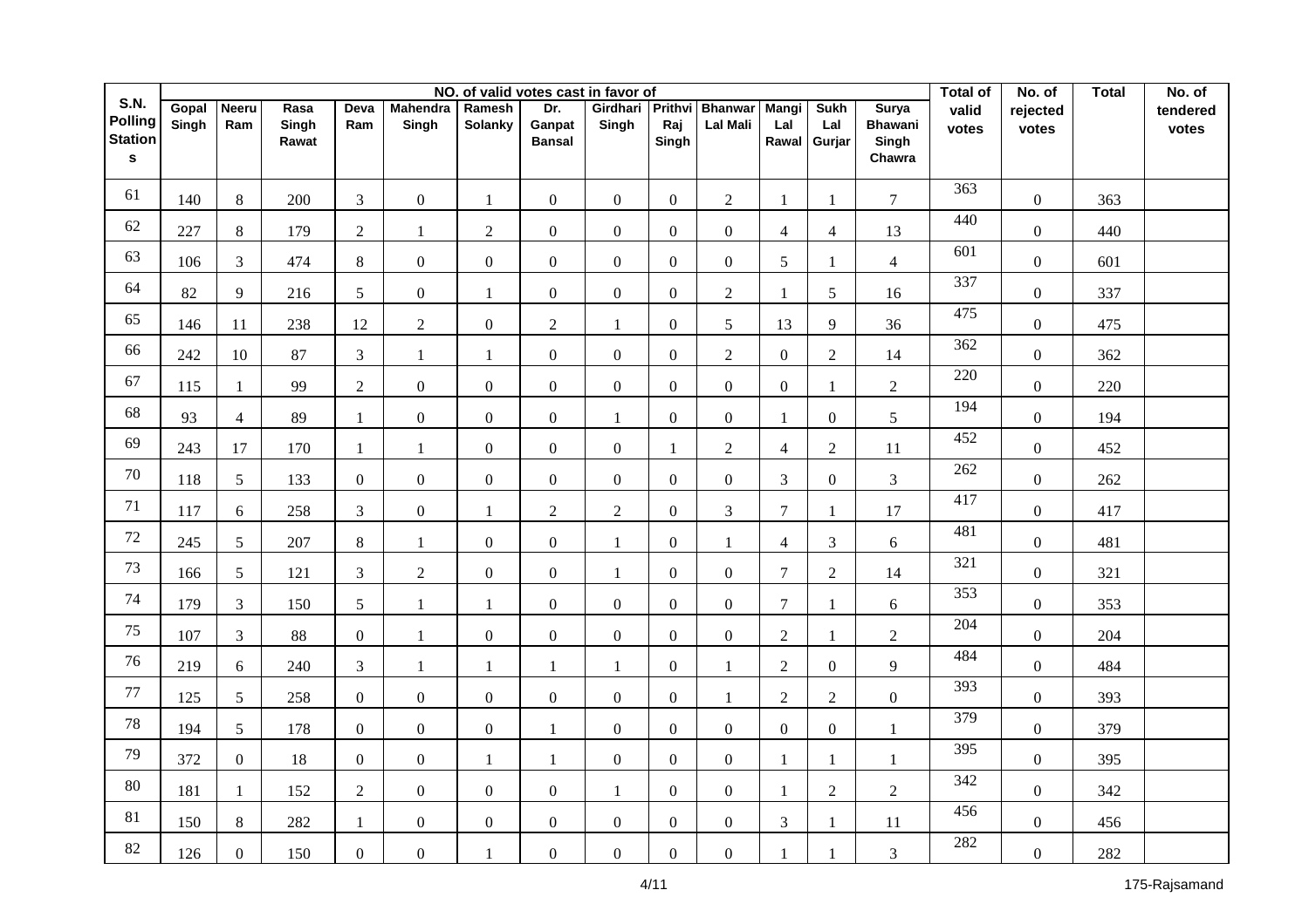|                                               | NO. of valid votes cast in favor of |                     |                        |                  |                          |                          |                                |                   |                         |                                   |                       |                              | <b>Total of</b>                                   | No. of         | <b>Total</b>      | No. of |                   |
|-----------------------------------------------|-------------------------------------|---------------------|------------------------|------------------|--------------------------|--------------------------|--------------------------------|-------------------|-------------------------|-----------------------------------|-----------------------|------------------------------|---------------------------------------------------|----------------|-------------------|--------|-------------------|
| <b>S.N.</b><br>Polling<br><b>Station</b><br>s | Gopal<br>Singh                      | <b>Neeru</b><br>Ram | Rasa<br>Singh<br>Rawat | Deva<br>Ram      | <b>Mahendra</b><br>Singh | Ramesh<br><b>Solanky</b> | Dr.<br>Ganpat<br><b>Bansal</b> | Girdhari<br>Singh | Prithvi<br>Raj<br>Singh | <b>Bhanwar</b><br><b>Lal Mali</b> | Mangi<br>Lal<br>Rawal | <b>Sukh</b><br>Lal<br>Gurjar | <b>Surya</b><br><b>Bhawani</b><br>Singh<br>Chawra | valid<br>votes | rejected<br>votes |        | tendered<br>votes |
| 61                                            | 140                                 | 8                   | 200                    | $\mathfrak{Z}$   | $\boldsymbol{0}$         | $\mathbf{1}$             | $\mathbf{0}$                   | $\boldsymbol{0}$  | $\boldsymbol{0}$        | $\overline{2}$                    | 1                     | -1                           | $\overline{7}$                                    | 363            | $\overline{0}$    | 363    |                   |
| 62                                            | 227                                 | 8                   | 179                    | $\overline{2}$   | 1                        | $\mathfrak{2}$           | $\boldsymbol{0}$               | $\boldsymbol{0}$  | $\boldsymbol{0}$        | $\overline{0}$                    | $\overline{4}$        | $\overline{4}$               | 13                                                | 440            | $\boldsymbol{0}$  | 440    |                   |
| 63                                            | 106                                 | $\mathfrak{Z}$      | 474                    | $8\,$            | $\mathbf{0}$             | $\boldsymbol{0}$         | $\boldsymbol{0}$               | $\overline{0}$    | $\boldsymbol{0}$        | $\mathbf{0}$                      | 5                     | -1                           | $\overline{4}$                                    | 601            | $\boldsymbol{0}$  | 601    |                   |
| 64                                            | 82                                  | 9                   | 216                    | 5                | $\mathbf{0}$             | $\mathbf{1}$             | $\boldsymbol{0}$               | $\boldsymbol{0}$  | $\Omega$                | $\overline{2}$                    | $\mathbf{1}$          | $\sqrt{5}$                   | 16                                                | 337            | $\mathbf{0}$      | 337    |                   |
| 65                                            | 146                                 | 11                  | 238                    | 12               | $\overline{2}$           | $\boldsymbol{0}$         | $\overline{2}$                 | 1                 | $\boldsymbol{0}$        | 5                                 | 13                    | $\overline{9}$               | 36                                                | 475            | $\overline{0}$    | 475    |                   |
| 66                                            | 242                                 | 10                  | 87                     | $\overline{3}$   | $\mathbf{1}$             | $\overline{1}$           | $\mathbf{0}$                   | $\overline{0}$    | $\Omega$                | $\overline{2}$                    | $\overline{0}$        | $\overline{2}$               | 14                                                | 362            | $\mathbf{0}$      | 362    |                   |
| 67                                            | 115                                 | $\mathbf{1}$        | 99                     | $\overline{2}$   | $\overline{0}$           | $\mathbf{0}$             | $\mathbf{0}$                   | $\overline{0}$    | $\boldsymbol{0}$        | $\overline{0}$                    | $\overline{0}$        | 1                            | $\overline{2}$                                    | 220            | $\mathbf{0}$      | 220    |                   |
| 68                                            | 93                                  | $\overline{4}$      | 89                     | $\mathbf{1}$     | $\overline{0}$           | $\mathbf{0}$             | $\mathbf{0}$                   | $\mathbf{1}$      | $\Omega$                | $\mathbf{0}$                      | $\mathbf{1}$          | $\overline{0}$               | 5                                                 | 194            | $\overline{0}$    | 194    |                   |
| 69                                            | 243                                 | 17                  | 170                    | $\mathbf{1}$     | $\mathbf{1}$             | $\mathbf{0}$             | $\mathbf{0}$                   | $\overline{0}$    | $\mathbf{1}$            | $\overline{2}$                    | $\overline{4}$        | $\overline{2}$               | $11\,$                                            | 452            | $\overline{0}$    | 452    |                   |
| 70                                            | 118                                 | 5                   | 133                    | $\mathbf{0}$     | $\overline{0}$           | $\mathbf{0}$             | $\boldsymbol{0}$               | $\overline{0}$    | $\Omega$                | $\mathbf{0}$                      | 3                     | $\boldsymbol{0}$             | $\overline{3}$                                    | 262            | $\boldsymbol{0}$  | 262    |                   |
| 71                                            | 117                                 | 6                   | 258                    | $\overline{3}$   | $\overline{0}$           | $\mathbf{1}$             | $\overline{2}$                 | $\overline{2}$    | $\boldsymbol{0}$        | 3                                 | $\overline{7}$        | 1                            | $17\,$                                            | 417            | $\boldsymbol{0}$  | 417    |                   |
| 72                                            | 245                                 | $\mathfrak{S}$      | 207                    | 8                | $\mathbf{1}$             | $\boldsymbol{0}$         | $\overline{0}$                 | $\mathbf{1}$      | $\Omega$                | $\mathbf{1}$                      | $\overline{4}$        | $\mathfrak{Z}$               | 6                                                 | 481            | $\overline{0}$    | 481    |                   |
| 73                                            | 166                                 | $\mathfrak{S}$      | 121                    | 3                | 2                        | $\boldsymbol{0}$         | $\mathbf{0}$                   | $\mathbf{1}$      | $\Omega$                | $\overline{0}$                    | $\tau$                | $\overline{2}$               | 14                                                | 321            | $\overline{0}$    | 321    |                   |
| 74                                            | 179                                 | 3                   | 150                    | 5                | 1                        | $\mathbf{1}$             | $\mathbf{0}$                   | $\overline{0}$    | $\Omega$                | $\overline{0}$                    | $\overline{7}$        | -1                           | 6                                                 | 353            | $\overline{0}$    | 353    |                   |
| 75                                            | 107                                 | 3                   | 88                     | $\overline{0}$   | 1                        | $\boldsymbol{0}$         | $\overline{0}$                 | $\overline{0}$    | $\Omega$                | $\overline{0}$                    | $\overline{2}$        | -1                           | $\overline{2}$                                    | 204            | $\overline{0}$    | 204    |                   |
| 76                                            | 219                                 | 6                   | 240                    | 3                | 1                        | $\mathbf{1}$             | 1                              | $\mathbf{1}$      | $\boldsymbol{0}$        | $\mathbf{1}$                      | 2                     | $\boldsymbol{0}$             | 9                                                 | 484            | $\overline{0}$    | 484    |                   |
| $77\,$                                        | 125                                 | $5\overline{)}$     | 258                    | $\overline{0}$   | $\overline{0}$           | $\boldsymbol{0}$         | $\overline{0}$                 | $\boldsymbol{0}$  | $\overline{0}$          | $\mathbf{1}$                      | $\overline{2}$        | $\overline{2}$               | $\boldsymbol{0}$                                  | 393            | $\overline{0}$    | 393    |                   |
| 78                                            | 194                                 | $\mathfrak{S}$      | 178                    | $\overline{0}$   | $\mathbf{0}$             | $\boldsymbol{0}$         | 1                              | $\boldsymbol{0}$  | $\boldsymbol{0}$        | $\mathbf{0}$                      | $\overline{0}$        | $\mathbf{0}$                 | $\mathbf{1}$                                      | 379            | $\overline{0}$    | 379    |                   |
| 79                                            | 372                                 | $\overline{0}$      | 18                     | $\mathbf{0}$     | $\overline{0}$           | $\mathbf{1}$             | $\mathbf{1}$                   | $\boldsymbol{0}$  | $\boldsymbol{0}$        | $\mathbf{0}$                      | $\mathbf{1}$          | 1                            | $\mathbf{1}$                                      | 395            | $\overline{0}$    | 395    |                   |
| 80                                            | 181                                 | $\mathbf{1}$        | 152                    | $\overline{2}$   | $\overline{0}$           | $\boldsymbol{0}$         | $\mathbf{0}$                   | 1                 | $\Omega$                | $\mathbf{0}$                      | $\mathbf{1}$          | $\sqrt{2}$                   | $\sqrt{2}$                                        | 342            | $\boldsymbol{0}$  | 342    |                   |
| 81                                            | 150                                 | 8                   | 282                    | $\mathbf{1}$     | $\overline{0}$           | $\boldsymbol{0}$         | $\overline{0}$                 | $\boldsymbol{0}$  | $\boldsymbol{0}$        | $\mathbf{0}$                      | $\overline{3}$        | $\mathbf{1}$                 | 11                                                | 456            | $\overline{0}$    | 456    |                   |
| 82                                            | 126                                 | $\overline{0}$      | 150                    | $\boldsymbol{0}$ | $\overline{0}$           | $\mathbf{1}$             | $\overline{0}$                 | $\boldsymbol{0}$  | $\overline{0}$          | $\overline{0}$                    | 1                     | -1                           | $\mathfrak{Z}$                                    | 282            | $\overline{0}$    | 282    |                   |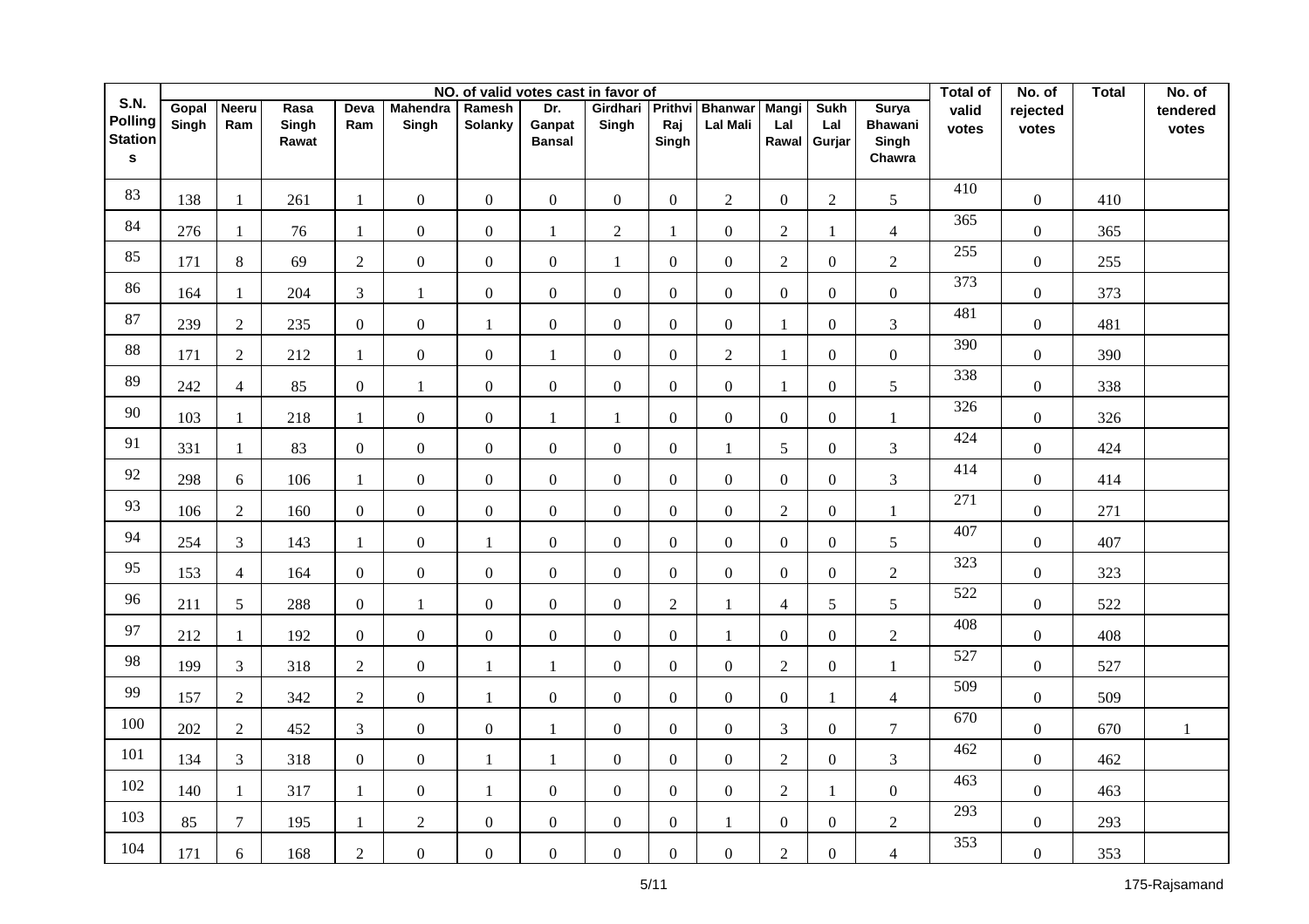|                                                                 |                |                     |                        |                  |                          |                   |                                | NO. of valid votes cast in favor of |                         |                                   |                              |                              |                                                   | Total of         | No. of            | <b>Total</b> | No. of            |
|-----------------------------------------------------------------|----------------|---------------------|------------------------|------------------|--------------------------|-------------------|--------------------------------|-------------------------------------|-------------------------|-----------------------------------|------------------------------|------------------------------|---------------------------------------------------|------------------|-------------------|--------------|-------------------|
| <b>S.N.</b><br><b>Polling</b><br><b>Station</b><br>$\mathbf{s}$ | Gopal<br>Singh | <b>Neeru</b><br>Ram | Rasa<br>Singh<br>Rawat | Deva<br>Ram      | <b>Mahendra</b><br>Singh | Ramesh<br>Solanky | Dr.<br>Ganpat<br><b>Bansal</b> | Girdhari<br>Singh                   | Prithvi<br>Raj<br>Singh | <b>Bhanwar</b><br><b>Lal Mali</b> | <b>Mangi</b><br>Lal<br>Rawal | <b>Sukh</b><br>Lal<br>Gurjar | <b>Surya</b><br><b>Bhawani</b><br>Singh<br>Chawra | valid<br>votes   | rejected<br>votes |              | tendered<br>votes |
| 83                                                              | 138            | 1                   | 261                    | -1               | $\boldsymbol{0}$         | $\mathbf{0}$      | $\overline{0}$                 | $\boldsymbol{0}$                    | $\overline{0}$          | $\overline{2}$                    | $\overline{0}$               | $\overline{2}$               | 5                                                 | 410              | $\boldsymbol{0}$  | 410          |                   |
| 84                                                              | 276            | 1                   | 76                     | $\mathbf{1}$     | $\boldsymbol{0}$         | $\boldsymbol{0}$  | 1                              | $\sqrt{2}$                          | $\mathbf{1}$            | $\boldsymbol{0}$                  | $\sqrt{2}$                   | $\mathbf{1}$                 | $\overline{4}$                                    | 365              | $\boldsymbol{0}$  | 365          |                   |
| 85                                                              | 171            | 8                   | 69                     | $\sqrt{2}$       | $\boldsymbol{0}$         | $\boldsymbol{0}$  | $\mathbf{0}$                   | $\mathbf{1}$                        | $\overline{0}$          | $\boldsymbol{0}$                  | $\sqrt{2}$                   | $\overline{0}$               | $\overline{c}$                                    | 255              | $\boldsymbol{0}$  | 255          |                   |
| 86                                                              | 164            | $\mathbf{1}$        | 204                    | $\overline{3}$   | $\mathbf{1}$             | $\mathbf{0}$      | $\mathbf{0}$                   | $\boldsymbol{0}$                    | $\Omega$                | $\overline{0}$                    | $\overline{0}$               | $\overline{0}$               | $\boldsymbol{0}$                                  | 373              | $\boldsymbol{0}$  | 373          |                   |
| 87                                                              | 239            | $\overline{2}$      | 235                    | $\overline{0}$   | $\overline{0}$           | $\mathbf{1}$      | $\overline{0}$                 | $\boldsymbol{0}$                    | $\Omega$                | $\overline{0}$                    | $\mathbf{1}$                 | $\overline{0}$               | $\mathfrak{Z}$                                    | 481              | $\boldsymbol{0}$  | 481          |                   |
| $88\,$                                                          | 171            | $\overline{2}$      | 212                    | $\mathbf{1}$     | $\overline{0}$           | $\overline{0}$    | $\mathbf{1}$                   | $\boldsymbol{0}$                    | $\Omega$                | $\overline{2}$                    | $\mathbf{1}$                 | $\overline{0}$               | $\overline{0}$                                    | 390              | $\overline{0}$    | 390          |                   |
| 89                                                              | 242            | $\overline{4}$      | 85                     | $\overline{0}$   | $\mathbf{1}$             | $\boldsymbol{0}$  | $\overline{0}$                 | $\boldsymbol{0}$                    | $\overline{0}$          | $\overline{0}$                    | 1                            | $\overline{0}$               | $\mathfrak{S}$                                    | 338              | $\boldsymbol{0}$  | 338          |                   |
| 90                                                              | 103            | $\mathbf{1}$        | 218                    | $\mathbf{1}$     | $\boldsymbol{0}$         | $\overline{0}$    | $\mathbf{1}$                   | $\mathbf{1}$                        | $\Omega$                | $\mathbf{0}$                      | $\overline{0}$               | $\overline{0}$               | $\mathbf{1}$                                      | 326              | $\overline{0}$    | 326          |                   |
| 91                                                              | 331            | 1                   | 83                     | $\mathbf{0}$     | $\overline{0}$           | $\mathbf{0}$      | $\boldsymbol{0}$               | $\overline{0}$                      | $\overline{0}$          | 1                                 | 5                            | $\boldsymbol{0}$             | $\mathfrak{Z}$                                    | 424              | $\boldsymbol{0}$  | 424          |                   |
| 92                                                              | 298            | 6                   | 106                    | $\mathbf{1}$     | $\overline{0}$           | $\overline{0}$    | $\overline{0}$                 | $\boldsymbol{0}$                    | $\overline{0}$          | $\boldsymbol{0}$                  | $\overline{0}$               | $\overline{0}$               | $\mathfrak{Z}$                                    | 414              | $\boldsymbol{0}$  | 414          |                   |
| 93                                                              | 106            | $\overline{2}$      | 160                    | $\boldsymbol{0}$ | $\overline{0}$           | $\mathbf{0}$      | $\mathbf{0}$                   | $\boldsymbol{0}$                    | $\overline{0}$          | $\boldsymbol{0}$                  | $\overline{2}$               | $\boldsymbol{0}$             | $\mathbf{1}$                                      | 271              | $\boldsymbol{0}$  | 271          |                   |
| 94                                                              | 254            | $\mathfrak{Z}$      | 143                    | $\mathbf{1}$     | $\overline{0}$           | $\mathbf{1}$      | $\mathbf{0}$                   | $\boldsymbol{0}$                    | $\Omega$                | $\mathbf{0}$                      | $\overline{0}$               | $\overline{0}$               | 5                                                 | 407              | $\overline{0}$    | 407          |                   |
| 95                                                              | 153            | $\overline{4}$      | 164                    | $\overline{0}$   | $\overline{0}$           | $\boldsymbol{0}$  | $\overline{0}$                 | $\overline{0}$                      | $\Omega$                | $\overline{0}$                    | $\overline{0}$               | $\overline{0}$               | $\overline{2}$                                    | 323<br>522       | $\overline{0}$    | 323          |                   |
| 96                                                              | 211            | 5 <sup>5</sup>      | 288                    | $\overline{0}$   | $\mathbf{1}$             | $\boldsymbol{0}$  | $\overline{0}$                 | $\overline{0}$                      | $\overline{2}$          | $\mathbf{1}$                      | $\overline{4}$               | 5                            | 5                                                 | 408              | $\overline{0}$    | 522          |                   |
| 97                                                              | 212            | $\mathbf{1}$        | 192                    | $\overline{0}$   | $\overline{0}$           | $\boldsymbol{0}$  | $\overline{0}$                 | $\overline{0}$                      | $\overline{0}$          | 1                                 | $\overline{0}$               | $\overline{0}$               | $\overline{2}$                                    | $\overline{527}$ | $\overline{0}$    | 408          |                   |
| 98                                                              | 199            | $\mathfrak{Z}$      | 318                    | $\overline{2}$   | $\overline{0}$           | 1                 | 1                              | $\boldsymbol{0}$                    | $\overline{0}$          | $\overline{0}$                    | $\overline{2}$               | $\overline{0}$               | $\mathbf{1}$                                      | 509              | $\overline{0}$    | 527          |                   |
| 99                                                              | 157            | $\overline{2}$      | 342                    | $\overline{2}$   | $\overline{0}$           | $\mathbf{1}$      | $\overline{0}$                 | $\boldsymbol{0}$                    | $\overline{0}$          | $\overline{0}$                    | $\overline{0}$               | $\mathbf{1}$                 | $\overline{4}$                                    | 670              | $\overline{0}$    | 509          |                   |
| 100                                                             | 202            | $\overline{2}$      | 452                    | $\mathfrak{Z}$   | $\boldsymbol{0}$         | $\boldsymbol{0}$  | 1                              | $\boldsymbol{0}$                    | $\overline{0}$          | $\overline{0}$                    | $\overline{3}$               | $\overline{0}$               | $\tau$                                            | 462              | $\boldsymbol{0}$  | 670          | $\mathbf{1}$      |
| 101                                                             | 134            | $\mathfrak{Z}$      | 318                    | $\overline{0}$   | $\overline{0}$           | $\mathbf{1}$      | 1                              | $\boldsymbol{0}$                    | $\overline{0}$          | $\overline{0}$                    | $\overline{2}$               | $\overline{0}$               | $\mathfrak{Z}$                                    | 463              | $\overline{0}$    | 462          |                   |
| 102                                                             | 140            | $\mathbf{1}$        | 317                    | $\mathbf{1}$     | $\boldsymbol{0}$         | 1                 | $\boldsymbol{0}$               | $\boldsymbol{0}$                    | $\Omega$                | $\overline{0}$                    | $\sqrt{2}$                   | $\mathbf{1}$                 | $\boldsymbol{0}$                                  | 293              | $\overline{0}$    | 463          |                   |
| 103                                                             | 85             | $7\overline{ }$     | 195                    | $\mathbf{1}$     | $\overline{2}$           | $\boldsymbol{0}$  | $\overline{0}$                 | $\boldsymbol{0}$                    | $\overline{0}$          | $\mathbf{1}$                      | $\overline{0}$               | $\overline{0}$               | $\overline{2}$                                    | 353              | $\boldsymbol{0}$  | 293          |                   |
| 104                                                             | 171            | 6                   | 168                    | $\overline{2}$   | $\boldsymbol{0}$         | $\boldsymbol{0}$  | $\overline{0}$                 | $\boldsymbol{0}$                    | $\boldsymbol{0}$        | $\boldsymbol{0}$                  | $\overline{2}$               | $\overline{0}$               | $\overline{4}$                                    |                  | $\boldsymbol{0}$  | 353          |                   |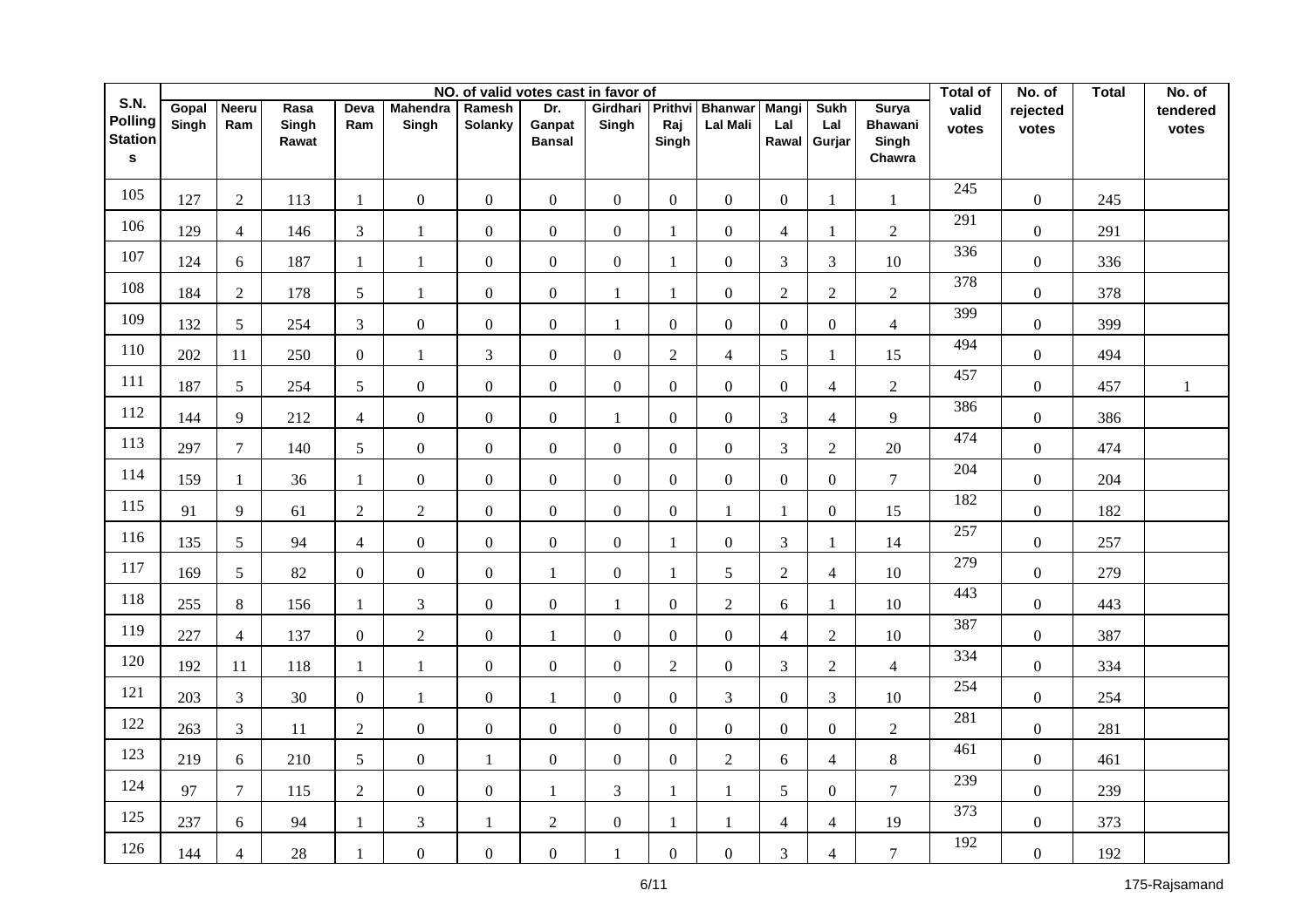|                                                          |                |                     |                        |                 |                          |                   | NO. of valid votes cast in favor of |                   |                         |                                   |                              |                              |                                                   | <b>Total of</b> | No. of            | <b>Total</b> | No. of            |
|----------------------------------------------------------|----------------|---------------------|------------------------|-----------------|--------------------------|-------------------|-------------------------------------|-------------------|-------------------------|-----------------------------------|------------------------------|------------------------------|---------------------------------------------------|-----------------|-------------------|--------------|-------------------|
| S.N.<br><b>Polling</b><br><b>Station</b><br>$\mathbf{s}$ | Gopal<br>Singh | <b>Neeru</b><br>Ram | Rasa<br>Singh<br>Rawat | Deva<br>Ram     | <b>Mahendra</b><br>Singh | Ramesh<br>Solanky | Dr.<br>Ganpat<br><b>Bansal</b>      | Girdhari<br>Singh | Prithvi<br>Raj<br>Singh | <b>Bhanwar</b><br><b>Lal Mali</b> | <b>Mangi</b><br>Lal<br>Rawal | <b>Sukh</b><br>Lal<br>Gurjar | <b>Surya</b><br><b>Bhawani</b><br>Singh<br>Chawra | valid<br>votes  | rejected<br>votes |              | tendered<br>votes |
| 105                                                      | 127            | $\overline{2}$      | 113                    | $\mathbf{1}$    | $\boldsymbol{0}$         | $\mathbf{0}$      | $\mathbf{0}$                        | $\overline{0}$    | $\overline{0}$          | $\overline{0}$                    | $\overline{0}$               | $\mathbf{1}$                 | $\mathbf{1}$                                      | 245             | $\boldsymbol{0}$  | 245          |                   |
| 106                                                      | 129            | $\overline{4}$      | 146                    | $\overline{3}$  | $\mathbf{1}$             | $\mathbf{0}$      | $\mathbf{0}$                        | $\boldsymbol{0}$  | $\mathbf{1}$            | $\boldsymbol{0}$                  | $\overline{4}$               | $\mathbf{1}$                 | $\overline{2}$                                    | 291             | $\boldsymbol{0}$  | 291          |                   |
| 107                                                      | 124            | 6                   | 187                    | $\mathbf{1}$    | $\mathbf{1}$             | $\boldsymbol{0}$  | $\overline{0}$                      | $\boldsymbol{0}$  | $\mathbf{1}$            | $\overline{0}$                    | $\overline{3}$               | $\overline{3}$               | 10                                                | 336             | $\boldsymbol{0}$  | 336          |                   |
| 108                                                      | 184            | $\overline{2}$      | 178                    | 5               | 1                        | $\overline{0}$    | $\mathbf{0}$                        | $\mathbf{1}$      | $\mathbf{1}$            | $\boldsymbol{0}$                  | $\overline{2}$               | $\overline{2}$               | $\overline{2}$                                    | 378             | $\overline{0}$    | 378          |                   |
| 109                                                      | 132            | 5 <sup>5</sup>      | 254                    | $\overline{3}$  | $\boldsymbol{0}$         | $\boldsymbol{0}$  | $\overline{0}$                      | $\mathbf{1}$      | $\overline{0}$          | $\boldsymbol{0}$                  | $\overline{0}$               | $\overline{0}$               | $\overline{4}$                                    | 399             | $\boldsymbol{0}$  | 399          |                   |
| 110                                                      | 202            | 11                  | 250                    | $\mathbf{0}$    | $\mathbf{1}$             | 3                 | $\overline{0}$                      | $\boldsymbol{0}$  | $\overline{2}$          | $\overline{4}$                    | 5                            | $\mathbf{1}$                 | 15                                                | 494             | $\overline{0}$    | 494          |                   |
| 111                                                      | 187            | 5                   | 254                    | 5               | $\boldsymbol{0}$         | $\boldsymbol{0}$  | $\boldsymbol{0}$                    | $\boldsymbol{0}$  | $\overline{0}$          | $\overline{0}$                    | $\boldsymbol{0}$             | $\overline{4}$               | $\overline{2}$                                    | 457             | $\boldsymbol{0}$  | 457          | $\mathbf{1}$      |
| 112                                                      | 144            | 9                   | 212                    | $\overline{4}$  | $\overline{0}$           | $\overline{0}$    | $\overline{0}$                      | 1                 | $\Omega$                | $\mathbf{0}$                      | $\overline{3}$               | $\overline{4}$               | 9                                                 | 386             | $\overline{0}$    | 386          |                   |
| 113                                                      | 297            | $\overline{7}$      | 140                    | 5               | $\overline{0}$           | $\mathbf{0}$      | $\mathbf{0}$                        | $\boldsymbol{0}$  | $\overline{0}$          | $\mathbf{0}$                      | $\overline{3}$               | $\overline{2}$               | 20                                                | 474             | $\overline{0}$    | 474          |                   |
| 114                                                      | 159            | $\mathbf{1}$        | 36                     | $\mathbf{1}$    | $\overline{0}$           | $\boldsymbol{0}$  | $\overline{0}$                      | $\boldsymbol{0}$  | $\overline{0}$          | $\mathbf{0}$                      | $\overline{0}$               | $\overline{0}$               | $\overline{7}$                                    | 204             | $\overline{0}$    | 204          |                   |
| 115                                                      | 91             | 9                   | 61                     | 2               | $\overline{2}$           | $\boldsymbol{0}$  | $\overline{0}$                      | $\boldsymbol{0}$  | $\overline{0}$          | $\mathbf{1}$                      | $\mathbf{1}$                 | $\overline{0}$               | 15                                                | 182             | $\overline{0}$    | 182          |                   |
| 116                                                      | 135            | 5                   | 94                     | $\overline{4}$  | $\overline{0}$           | $\mathbf{0}$      | $\overline{0}$                      | $\overline{0}$    | $\mathbf{1}$            | $\overline{0}$                    | $\overline{3}$               | $\mathbf{1}$                 | 14                                                | 257             | $\boldsymbol{0}$  | 257          |                   |
| 117                                                      | 169            | 5 <sup>5</sup>      | 82                     | $\overline{0}$  | $\boldsymbol{0}$         | $\boldsymbol{0}$  | $\mathbf{1}$                        | $\boldsymbol{0}$  | $\mathbf{1}$            | 5                                 | $\overline{2}$               | $\overline{4}$               | $10\,$                                            | 279             | $\overline{0}$    | 279          |                   |
| 118                                                      | 255            | 8                   | 156                    | $\mathbf{1}$    | 3                        | $\mathbf{0}$      | $\overline{0}$                      | $\mathbf{1}$      | $\Omega$                | $\overline{2}$                    | 6                            | $\mathbf{1}$                 | 10                                                | 443             | $\overline{0}$    | 443          |                   |
| 119                                                      | 227            | $\overline{4}$      | 137                    | $\overline{0}$  | $\overline{2}$           | $\mathbf{0}$      | 1                                   | $\mathbf{0}$      | $\Omega$                | $\overline{0}$                    | $\overline{4}$               | $\overline{2}$               | 10                                                | 387             | $\overline{0}$    | 387          |                   |
| 120                                                      | 192            | 11                  | 118                    | -1              | $\mathbf{1}$             | $\boldsymbol{0}$  | $\overline{0}$                      | $\mathbf{0}$      | $\overline{2}$          | $\boldsymbol{0}$                  | $\overline{3}$               | $\overline{2}$               | $\overline{4}$                                    | 334             | $\overline{0}$    | 334          |                   |
| 121                                                      | 203            | $\mathfrak{Z}$      | 30                     | $\overline{0}$  | $\mathbf{1}$             | $\boldsymbol{0}$  | $\mathbf{1}$                        | $\mathbf{0}$      | $\Omega$                | 3                                 | $\overline{0}$               | $\overline{3}$               | 10                                                | 254             | $\boldsymbol{0}$  | 254          |                   |
| 122                                                      | 263            | $\mathfrak{Z}$      | 11                     | $\sqrt{2}$      | $\overline{0}$           | $\mathbf{0}$      | $\overline{0}$                      | $\boldsymbol{0}$  | $\overline{0}$          | $\overline{0}$                    | $\overline{0}$               | $\overline{0}$               | $\overline{2}$                                    | 281             | $\overline{0}$    | 281          |                   |
| 123                                                      | 219            | 6                   | 210                    | $5\overline{)}$ | $\overline{0}$           | 1                 | $\overline{0}$                      | $\boldsymbol{0}$  | $\overline{0}$          | $\overline{2}$                    | 6                            | $\overline{4}$               | $8\,$                                             | 461             | $\boldsymbol{0}$  | 461          |                   |
| 124                                                      | 97             | $\overline{7}$      | 115                    | $\sqrt{2}$      | $\boldsymbol{0}$         | $\boldsymbol{0}$  | 1                                   | 3                 | $\mathbf{1}$            | $\mathbf{1}$                      | 5                            | $\overline{0}$               | $\tau$                                            | 239             | $\boldsymbol{0}$  | 239          |                   |
| 125                                                      | 237            | 6                   | 94                     | $\mathbf{1}$    | 3                        | 1                 | $\overline{2}$                      | $\boldsymbol{0}$  | $\mathbf{1}$            | $\mathbf{1}$                      | $\overline{4}$               | $\overline{4}$               | 19                                                | 373             | $\boldsymbol{0}$  | 373          |                   |
| 126                                                      | 144            | $\overline{4}$      | 28                     | $\mathbf{1}$    | $\mathbf{0}$             | $\mathbf{0}$      | $\overline{0}$                      | 1                 | $\Omega$                | $\mathbf{0}$                      | 3                            | $\overline{4}$               | $\overline{7}$                                    | 192             | $\boldsymbol{0}$  | 192          |                   |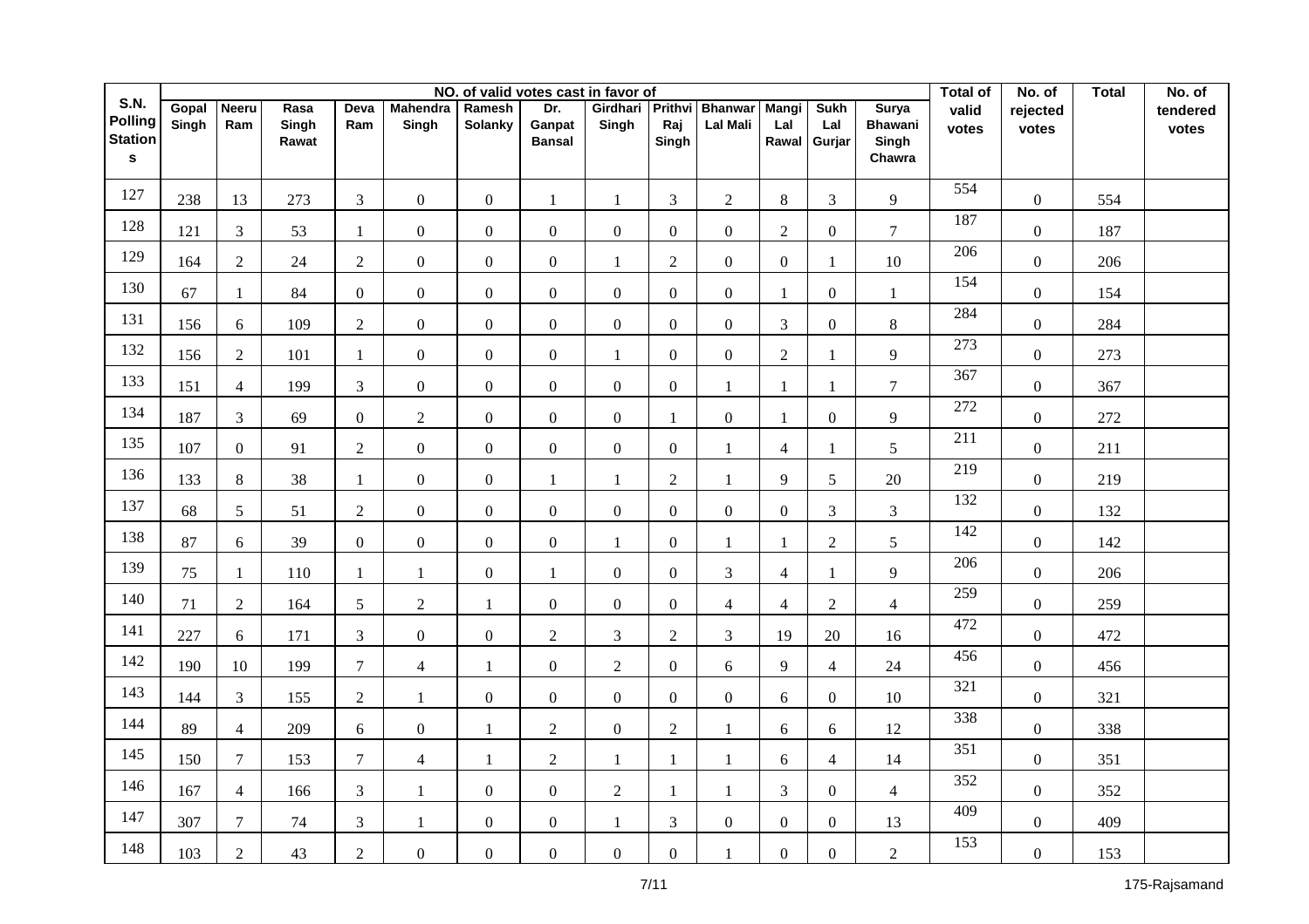|                                          |                |                     |               |                |                          |                   |                  | NO. of valid votes cast in favor of |                  |                                   |                     |                    |                                | <b>Total of</b>  | No. of            | <b>Total</b> | No. of            |
|------------------------------------------|----------------|---------------------|---------------|----------------|--------------------------|-------------------|------------------|-------------------------------------|------------------|-----------------------------------|---------------------|--------------------|--------------------------------|------------------|-------------------|--------------|-------------------|
| S.N.<br><b>Polling</b><br><b>Station</b> | Gopal<br>Singh | <b>Neeru</b><br>Ram | Rasa<br>Singh | Deva<br>Ram    | <b>Mahendra</b><br>Singh | Ramesh<br>Solanky | Dr.<br>Ganpat    | Girdhari<br>Singh                   | Prithvi<br>Raj   | <b>Bhanwar</b><br><b>Lal Mali</b> | <b>Mangi</b><br>Lal | <b>Sukh</b><br>Lal | <b>Surya</b><br><b>Bhawani</b> | valid<br>votes   | rejected<br>votes |              | tendered<br>votes |
| $\mathbf{s}$                             |                |                     | Rawat         |                |                          |                   | <b>Bansal</b>    |                                     | Singh            |                                   | Rawal               | Gurjar             | Singh<br>Chawra                |                  |                   |              |                   |
| 127                                      | 238            | 13                  | 273           | $\overline{3}$ | $\overline{0}$           | $\mathbf{0}$      | $\mathbf{1}$     | $\mathbf{1}$                        | 3                | $\overline{2}$                    | $8\,$               | 3                  | 9                              | 554              | $\boldsymbol{0}$  | 554          |                   |
| 128                                      | 121            | $\overline{3}$      | 53            | $\mathbf{1}$   | $\boldsymbol{0}$         | $\boldsymbol{0}$  | $\mathbf{0}$     | $\boldsymbol{0}$                    | $\Omega$         | $\boldsymbol{0}$                  | $\sqrt{2}$          | $\overline{0}$     | $\tau$                         | 187              | $\boldsymbol{0}$  | 187          |                   |
| 129                                      | 164            | $\overline{2}$      | 24            | $\overline{2}$ | $\overline{0}$           | $\boldsymbol{0}$  | $\mathbf{0}$     | $\mathbf{1}$                        | $\overline{2}$   | $\overline{0}$                    | $\overline{0}$      | $\mathbf{1}$       | 10                             | 206              | $\boldsymbol{0}$  | 206          |                   |
| 130                                      | 67             | $\mathbf{1}$        | 84            | $\overline{0}$ | $\overline{0}$           | $\overline{0}$    | $\mathbf{0}$     | $\mathbf{0}$                        | $\Omega$         | $\mathbf{0}$                      | $\mathbf{1}$        | $\overline{0}$     | $\mathbf{1}$                   | 154              | $\overline{0}$    | 154          |                   |
| 131                                      | 156            | 6                   | 109           | $\overline{2}$ | $\boldsymbol{0}$         | $\boldsymbol{0}$  | $\overline{0}$   | $\boldsymbol{0}$                    | $\overline{0}$   | $\overline{0}$                    | $\overline{3}$      | $\overline{0}$     | $8\,$                          | 284              | $\boldsymbol{0}$  | 284          |                   |
| 132                                      | 156            | $\overline{2}$      | 101           | $\mathbf{1}$   | $\boldsymbol{0}$         | $\overline{0}$    | $\overline{0}$   | $\mathbf{1}$                        | $\Omega$         | $\mathbf{0}$                      | $\overline{2}$      | $\mathbf{1}$       | 9                              | 273              | $\overline{0}$    | 273          |                   |
| 133                                      | 151            | $\overline{4}$      | 199           | $\mathfrak{Z}$ | $\boldsymbol{0}$         | $\boldsymbol{0}$  | $\boldsymbol{0}$ | $\boldsymbol{0}$                    | $\overline{0}$   | $\mathbf{1}$                      | 1                   | $\mathbf{1}$       | $\tau$                         | 367              | $\boldsymbol{0}$  | 367          |                   |
| 134                                      | 187            | $\overline{3}$      | 69            | $\overline{0}$ | $\overline{2}$           | $\overline{0}$    | $\overline{0}$   | $\boldsymbol{0}$                    | $\mathbf{1}$     | $\overline{0}$                    | $\mathbf{1}$        | $\boldsymbol{0}$   | 9                              | 272              | $\overline{0}$    | 272          |                   |
| 135                                      | 107            | $\overline{0}$      | 91            | $\overline{2}$ | $\overline{0}$           | $\mathbf{0}$      | $\overline{0}$   | $\overline{0}$                      | $\overline{0}$   | $\mathbf{1}$                      | $\overline{4}$      | 1                  | 5                              | $\overline{211}$ | $\overline{0}$    | 211          |                   |
| 136                                      | 133            | 8                   | 38            | $\mathbf{1}$   | $\overline{0}$           | $\boldsymbol{0}$  | $\mathbf{1}$     | $\mathbf{1}$                        | $\overline{2}$   | $\mathbf{1}$                      | 9                   | 5                  | 20                             | 219              | $\overline{0}$    | 219          |                   |
| 137                                      | 68             | 5                   | 51            | $\overline{2}$ | $\overline{0}$           | $\boldsymbol{0}$  | $\mathbf{0}$     | $\boldsymbol{0}$                    | $\overline{0}$   | $\mathbf{0}$                      | $\overline{0}$      | 3                  | 3                              | 132              | $\overline{0}$    | 132          |                   |
| 138                                      | 87             | 6                   | 39            | $\overline{0}$ | $\overline{0}$           | $\mathbf{0}$      | $\overline{0}$   | $\mathbf{1}$                        | $\overline{0}$   | $\mathbf{1}$                      | 1                   | $\overline{2}$     | 5                              | 142              | $\boldsymbol{0}$  | 142          |                   |
| 139                                      | 75             | $\mathbf{1}$        | 110           | -1             | $\mathbf{1}$             | $\boldsymbol{0}$  | $\mathbf{1}$     | $\boldsymbol{0}$                    | $\overline{0}$   | 3                                 | $\overline{4}$      | $\mathbf{1}$       | 9                              | 206              | $\overline{0}$    | 206          |                   |
| 140                                      | 71             | $\overline{2}$      | 164           | 5              | $\sqrt{2}$               | $\mathbf{1}$      | $\overline{0}$   | $\boldsymbol{0}$                    | $\Omega$         | $\overline{4}$                    | $\overline{4}$      | $\overline{2}$     | $\overline{4}$                 | 259              | $\overline{0}$    | 259          |                   |
| 141                                      | 227            | 6                   | 171           | 3              | $\overline{0}$           | $\mathbf{0}$      | $\overline{2}$   | 3                                   | 2                | 3                                 | 19                  | 20                 | 16                             | 472              | $\overline{0}$    | 472          |                   |
| 142                                      | 190            | 10                  | 199           | $\tau$         | $\overline{4}$           | 1                 | $\overline{0}$   | $\overline{2}$                      | $\Omega$         | 6                                 | 9                   | $\overline{4}$     | 24                             | 456              | $\overline{0}$    | 456          |                   |
| 143                                      | 144            | $\mathfrak{Z}$      | 155           | 2              | $\mathbf{1}$             | $\boldsymbol{0}$  | $\overline{0}$   | $\boldsymbol{0}$                    | $\Omega$         | $\overline{0}$                    | 6                   | $\overline{0}$     | 10                             | 321              | $\boldsymbol{0}$  | 321          |                   |
| 144                                      | 89             | $\overline{4}$      | 209           | 6              | $\boldsymbol{0}$         | 1                 | $\overline{2}$   | $\boldsymbol{0}$                    | $\sqrt{2}$       | 1                                 | 6                   | 6                  | 12                             | 338              | $\overline{0}$    | 338          |                   |
| 145                                      | 150            | $\overline{7}$      | 153           | $\tau$         | $\overline{4}$           | 1                 | $\overline{2}$   | $\mathbf{1}$                        | $\mathbf{1}$     | $\mathbf{1}$                      | 6                   | $\overline{4}$     | 14                             | 351              | $\boldsymbol{0}$  | 351          |                   |
| 146                                      | 167            | $\overline{4}$      | 166           | $\mathfrak{Z}$ | $\mathbf{1}$             | $\boldsymbol{0}$  | $\overline{0}$   | $\sqrt{2}$                          | $\mathbf{1}$     | $\mathbf{1}$                      | $\mathfrak{Z}$      | $\overline{0}$     | $\overline{4}$                 | 352              | $\boldsymbol{0}$  | 352          |                   |
| 147                                      | 307            | $\overline{7}$      | 74            | $\overline{3}$ | 1                        | $\boldsymbol{0}$  | $\overline{0}$   | $\mathbf{1}$                        | 3                | $\overline{0}$                    | $\overline{0}$      | $\overline{0}$     | 13                             | 409              | $\boldsymbol{0}$  | 409          |                   |
| 148                                      | 103            | $\overline{2}$      | 43            | $\overline{2}$ | $\boldsymbol{0}$         | $\boldsymbol{0}$  | $\overline{0}$   | $\boldsymbol{0}$                    | $\boldsymbol{0}$ | 1                                 | $\overline{0}$      | $\overline{0}$     | $\overline{2}$                 | 153              | $\boldsymbol{0}$  | 153          |                   |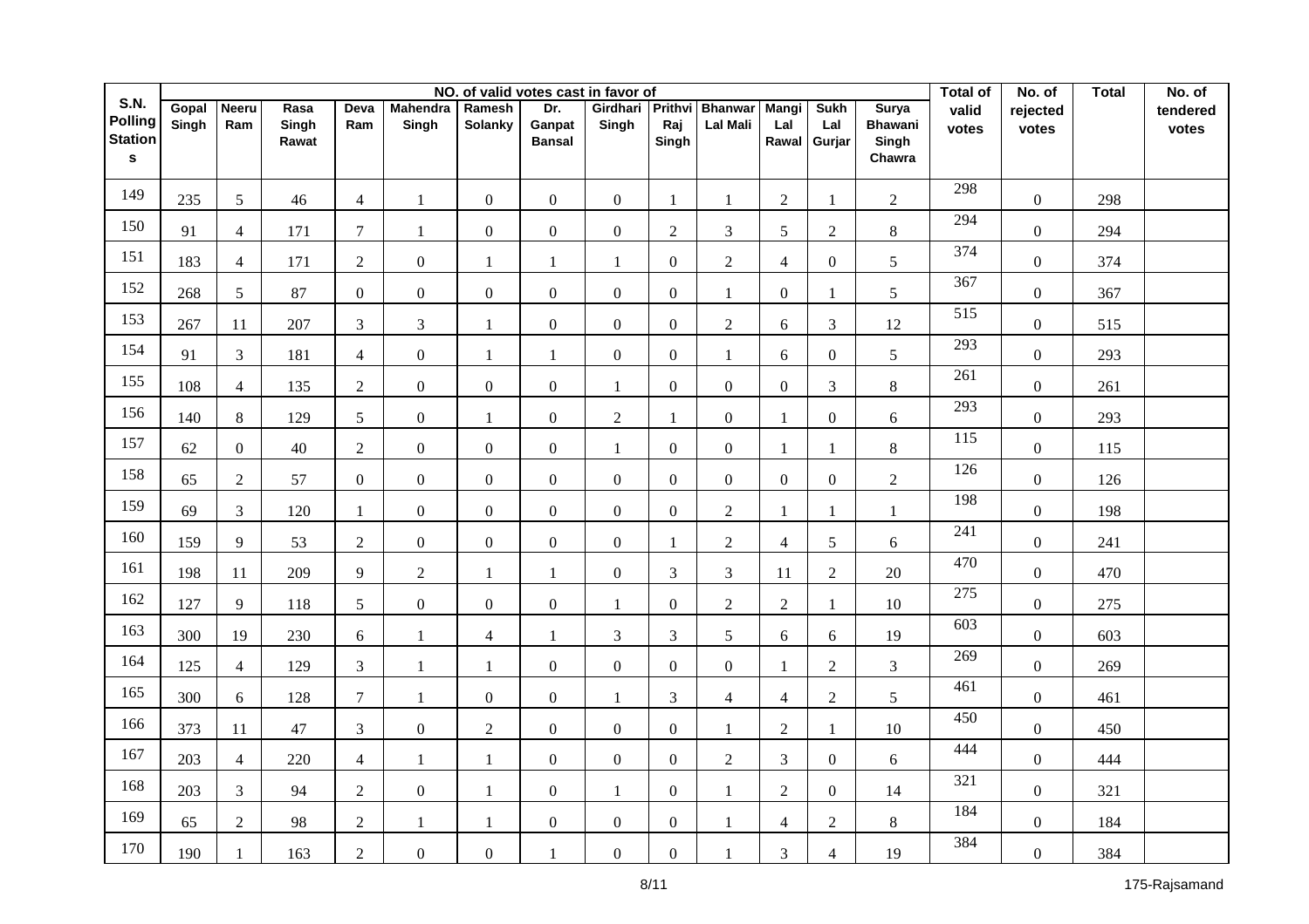|                                                         |                |                     |                        |                |                          |                   |                                | NO. of valid votes cast in favor of |                         |                            |                              |                              |                                                   | <b>Total of</b>  | No. of            | <b>Total</b> | No. of            |
|---------------------------------------------------------|----------------|---------------------|------------------------|----------------|--------------------------|-------------------|--------------------------------|-------------------------------------|-------------------------|----------------------------|------------------------------|------------------------------|---------------------------------------------------|------------------|-------------------|--------------|-------------------|
| <b>S.N.</b><br>Polling<br><b>Station</b><br>$\mathbf s$ | Gopal<br>Singh | <b>Neeru</b><br>Ram | Rasa<br>Singh<br>Rawat | Deva<br>Ram    | <b>Mahendra</b><br>Singh | Ramesh<br>Solanky | Dr.<br>Ganpat<br><b>Bansal</b> | Girdhari<br>Singh                   | Prithvi<br>Raj<br>Singh | <b>Bhanwar</b><br>Lal Mali | <b>Mangi</b><br>Lal<br>Rawal | <b>Sukh</b><br>Lal<br>Gurjar | <b>Surya</b><br><b>Bhawani</b><br>Singh<br>Chawra | valid<br>votes   | rejected<br>votes |              | tendered<br>votes |
| 149                                                     | 235            | 5                   | 46                     | $\overline{4}$ | 1                        | $\boldsymbol{0}$  | $\overline{0}$                 | $\boldsymbol{0}$                    | $\mathbf{1}$            | $\mathbf{1}$               | $\overline{2}$               | 1                            | $\overline{2}$                                    | 298              | $\boldsymbol{0}$  | 298          |                   |
| 150                                                     | 91             | $\overline{4}$      | 171                    | $\tau$         | 1                        | $\overline{0}$    | $\overline{0}$                 | $\boldsymbol{0}$                    | $\overline{2}$          | 3                          | 5                            | $\overline{2}$               | 8                                                 | 294              | $\boldsymbol{0}$  | 294          |                   |
| 151                                                     | 183            | $\overline{4}$      | 171                    | $\overline{2}$ | $\boldsymbol{0}$         | 1                 | 1                              | $\mathbf{1}$                        | $\overline{0}$          | $\overline{2}$             | $\overline{4}$               | $\overline{0}$               | 5                                                 | 374              | $\boldsymbol{0}$  | 374          |                   |
| 152                                                     | 268            | $5\overline{)}$     | 87                     | $\overline{0}$ | $\boldsymbol{0}$         | $\mathbf{0}$      | $\boldsymbol{0}$               | $\boldsymbol{0}$                    | $\overline{0}$          | $\mathbf{1}$               | $\overline{0}$               | $\mathbf{1}$                 | 5                                                 | 367              | $\boldsymbol{0}$  | 367          |                   |
| 153                                                     | 267            | $11\,$              | 207                    | $\overline{3}$ | $\overline{3}$           | 1                 | $\mathbf{0}$                   | $\boldsymbol{0}$                    | $\overline{0}$          | $\sqrt{2}$                 | 6                            | $\mathfrak{Z}$               | 12                                                | 515              | $\boldsymbol{0}$  | 515          |                   |
| 154                                                     | 91             | $\mathfrak{Z}$      | 181                    | $\overline{4}$ | $\boldsymbol{0}$         | 1                 | $\mathbf{1}$                   | $\boldsymbol{0}$                    | $\overline{0}$          | $\mathbf{1}$               | 6                            | $\overline{0}$               | 5                                                 | 293              | $\boldsymbol{0}$  | 293          |                   |
| 155                                                     | 108            | $\overline{4}$      | 135                    | $\overline{2}$ | $\boldsymbol{0}$         | $\boldsymbol{0}$  | $\mathbf{0}$                   | $\mathbf{1}$                        | $\boldsymbol{0}$        | $\boldsymbol{0}$           | $\boldsymbol{0}$             | $\mathfrak{Z}$               | $8\,$                                             | 261              | $\boldsymbol{0}$  | 261          |                   |
| 156                                                     | 140            | 8                   | 129                    | 5              | $\boldsymbol{0}$         | $\mathbf{1}$      | $\mathbf{0}$                   | $\overline{2}$                      | $\mathbf{1}$            | $\mathbf{0}$               | 1                            | $\boldsymbol{0}$             | 6                                                 | 293              | $\boldsymbol{0}$  | 293          |                   |
| 157                                                     | 62             | $\overline{0}$      | 40                     | $\sqrt{2}$     | $\overline{0}$           | $\boldsymbol{0}$  | $\mathbf{0}$                   | 1                                   | $\Omega$                | $\overline{0}$             | 1                            | $\mathbf{1}$                 | $8\,$                                             | 115              | $\overline{0}$    | 115          |                   |
| 158                                                     | 65             | $\overline{2}$      | 57                     | $\overline{0}$ | $\overline{0}$           | $\overline{0}$    | $\mathbf{0}$                   | $\mathbf{0}$                        | $\Omega$                | $\mathbf{0}$               | $\overline{0}$               | $\overline{0}$               | $\overline{2}$                                    | 126              | $\overline{0}$    | 126          |                   |
| 159                                                     | 69             | $\overline{3}$      | 120                    | $\mathbf{1}$   | $\mathbf{0}$             | $\boldsymbol{0}$  | $\mathbf{0}$                   | $\mathbf{0}$                        | $\Omega$                | $\overline{2}$             | 1                            | 1                            | $\mathbf{1}$                                      | 198              | $\overline{0}$    | 198          |                   |
| 160                                                     | 159            | 9                   | 53                     | 2              | $\overline{0}$           | $\boldsymbol{0}$  | $\mathbf{0}$                   | $\mathbf{0}$                        | $\mathbf{1}$            | $\overline{2}$             | $\overline{4}$               | 5                            | 6                                                 | $\overline{241}$ | $\overline{0}$    | 241          |                   |
| 161                                                     | 198            | 11                  | 209                    | 9              | $\overline{2}$           | $\mathbf{1}$      | $\mathbf{1}$                   | $\mathbf{0}$                        | 3                       | 3                          | 11                           | $\overline{2}$               | 20                                                | 470              | $\boldsymbol{0}$  | 470          |                   |
| 162                                                     | 127            | 9                   | 118                    | 5              | $\overline{0}$           | $\mathbf{0}$      | $\overline{0}$                 | 1                                   | $\overline{0}$          | $\overline{2}$             | $\overline{2}$               | $\mathbf{1}$                 | 10                                                | 275              | $\overline{0}$    | 275          |                   |
| 163                                                     | 300            | 19                  | 230                    | 6              | $\mathbf{1}$             | $\overline{4}$    | $\mathbf{1}$                   | 3                                   | 3                       | 5                          | 6                            | 6                            | 19                                                | 603              | $\overline{0}$    | 603          |                   |
| 164                                                     | 125            | $\overline{4}$      | 129                    | $\mathfrak{Z}$ | $\mathbf{1}$             | 1                 | $\boldsymbol{0}$               | $\boldsymbol{0}$                    | $\overline{0}$          | $\mathbf{0}$               | $\mathbf{1}$                 | $\overline{2}$               | $\mathfrak{Z}$                                    | 269              | $\boldsymbol{0}$  | 269          |                   |
| 165                                                     | 300            | 6                   | 128                    | $\overline{7}$ | $\mathbf{1}$             | $\boldsymbol{0}$  | $\overline{0}$                 | $\mathbf{1}$                        | 3                       | $\overline{4}$             | $\overline{4}$               | $\overline{2}$               | 5                                                 | 461              | $\overline{0}$    | 461          |                   |
| 166                                                     | 373            | 11                  | 47                     | $\mathfrak{Z}$ | $\boldsymbol{0}$         | $\sqrt{2}$        | $\overline{0}$                 | $\boldsymbol{0}$                    | $\Omega$                | $\mathbf{1}$               | $\sqrt{2}$                   | $\mathbf{1}$                 | 10                                                | 450              | $\boldsymbol{0}$  | 450          |                   |
| 167                                                     | 203            | $\overline{4}$      | 220                    | $\overline{4}$ | $\mathbf{1}$             | 1                 | $\overline{0}$                 | $\boldsymbol{0}$                    | $\Omega$                | $\overline{2}$             | $\mathfrak{Z}$               | $\overline{0}$               | 6                                                 | 444              | $\boldsymbol{0}$  | 444          |                   |
| 168                                                     | 203            | $\mathfrak{Z}$      | 94                     | $\overline{2}$ | $\mathbf{0}$             | 1                 | $\boldsymbol{0}$               | $\mathbf{1}$                        | $\Omega$                | $\mathbf{1}$               | $\overline{2}$               | $\overline{0}$               | 14                                                | 321              | $\overline{0}$    | 321          |                   |
| 169                                                     | 65             | $\overline{2}$      | 98                     | $\overline{2}$ | 1                        | 1                 | $\boldsymbol{0}$               | $\boldsymbol{0}$                    | $\overline{0}$          | $\mathbf{1}$               | $\overline{4}$               | $\overline{2}$               | 8                                                 | 184              | $\boldsymbol{0}$  | 184          |                   |
| 170                                                     | 190            | 1                   | 163                    | $\overline{2}$ | $\mathbf{0}$             | $\mathbf{0}$      | $\mathbf{1}$                   | $\mathbf{0}$                        | $\boldsymbol{0}$        | 1                          | $\mathfrak{Z}$               | $\overline{4}$               | 19                                                | 384              | $\boldsymbol{0}$  | 384          |                   |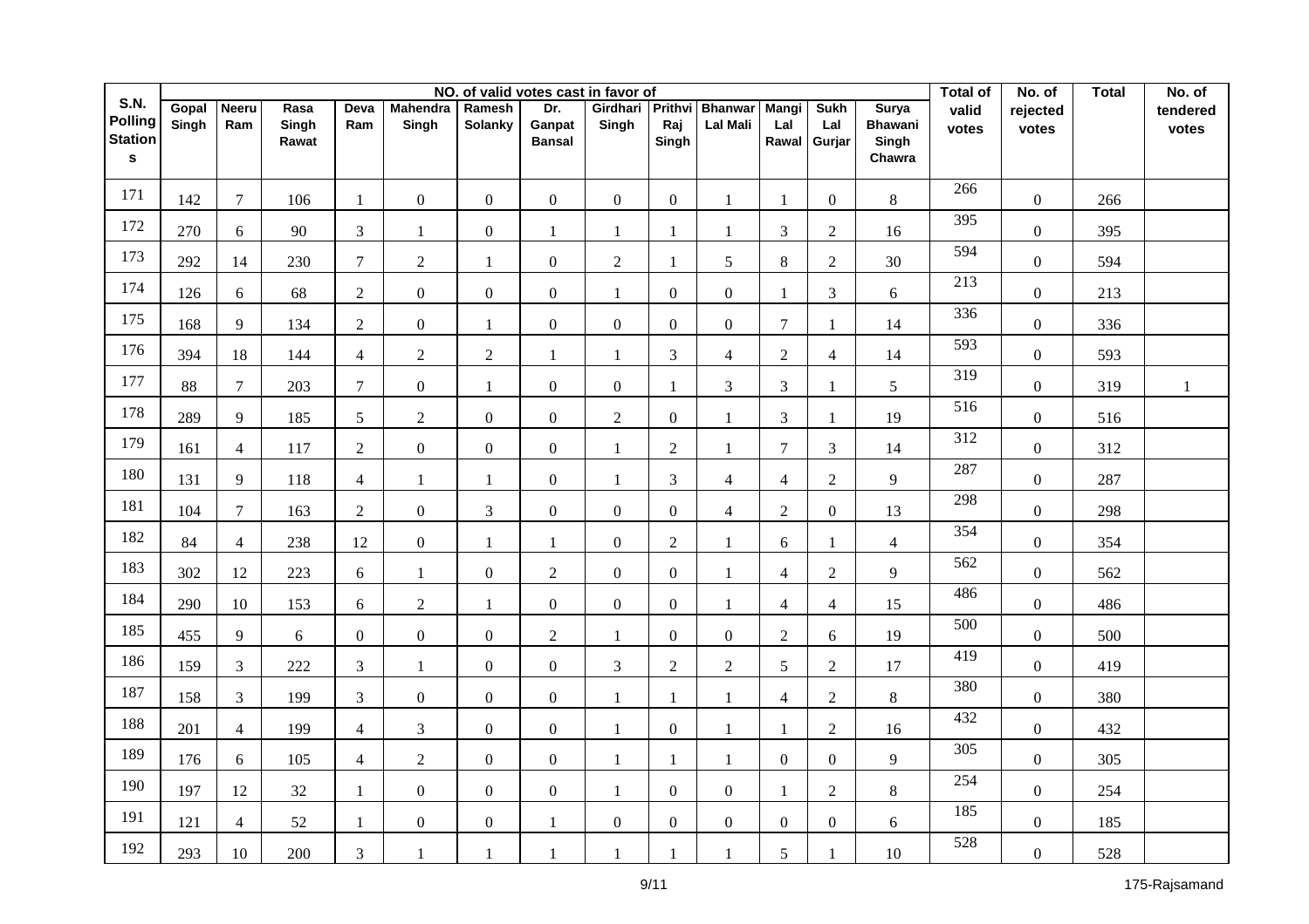|                                                          |                |                     |                        |                |                          |                   |                                | NO. of valid votes cast in favor of |                         |                                   |                              |                              |                                                   | <b>Total of</b>  | No. of            | <b>Total</b> | No. of            |
|----------------------------------------------------------|----------------|---------------------|------------------------|----------------|--------------------------|-------------------|--------------------------------|-------------------------------------|-------------------------|-----------------------------------|------------------------------|------------------------------|---------------------------------------------------|------------------|-------------------|--------------|-------------------|
| S.N.<br><b>Polling</b><br><b>Station</b><br>$\mathbf{s}$ | Gopal<br>Singh | <b>Neeru</b><br>Ram | Rasa<br>Singh<br>Rawat | Deva<br>Ram    | <b>Mahendra</b><br>Singh | Ramesh<br>Solanky | Dr.<br>Ganpat<br><b>Bansal</b> | Girdhari<br>Singh                   | Prithvi<br>Raj<br>Singh | <b>Bhanwar</b><br><b>Lal Mali</b> | <b>Mangi</b><br>Lal<br>Rawal | <b>Sukh</b><br>Lal<br>Gurjar | <b>Surya</b><br><b>Bhawani</b><br>Singh<br>Chawra | valid<br>votes   | rejected<br>votes |              | tendered<br>votes |
| 171                                                      | 142            | $\tau$              | 106                    | $\mathbf{1}$   | $\boldsymbol{0}$         | $\mathbf{0}$      | $\mathbf{0}$                   | $\overline{0}$                      | $\overline{0}$          | $\mathbf{1}$                      | $\mathbf{1}$                 | $\boldsymbol{0}$             | $8\,$                                             | 266              | $\boldsymbol{0}$  | 266          |                   |
| 172                                                      | 270            | 6                   | 90                     | $\mathfrak{Z}$ | $\mathbf{1}$             | $\boldsymbol{0}$  | 1                              | $\mathbf{1}$                        | $\mathbf{1}$            | $\mathbf{1}$                      | $\mathfrak{Z}$               | $\mathbf{2}$                 | 16                                                | 395              | $\boldsymbol{0}$  | 395          |                   |
| 173                                                      | 292            | 14                  | 230                    | $\overline{7}$ | $\overline{2}$           | 1                 | $\mathbf{0}$                   | $\overline{2}$                      | $\mathbf{1}$            | 5                                 | $8\,$                        | $\sqrt{2}$                   | 30                                                | 594              | $\overline{0}$    | 594          |                   |
| 174                                                      | 126            | 6                   | 68                     | $\overline{2}$ | $\overline{0}$           | $\overline{0}$    | $\mathbf{0}$                   | 1                                   | $\Omega$                | $\mathbf{0}$                      | $\mathbf{1}$                 | 3                            | 6                                                 | 213              | $\overline{0}$    | 213          |                   |
| 175                                                      | 168            | 9                   | 134                    | $\overline{2}$ | $\boldsymbol{0}$         | 1                 | $\overline{0}$                 | $\boldsymbol{0}$                    | $\overline{0}$          | $\overline{0}$                    | $\overline{7}$               | $\mathbf{1}$                 | 14                                                | 336              | $\boldsymbol{0}$  | 336          |                   |
| 176                                                      | 394            | 18                  | 144                    | $\overline{4}$ | $\overline{2}$           | $\overline{2}$    | $\mathbf{1}$                   | 1                                   | 3                       | $\overline{4}$                    | $\overline{2}$               | $\overline{4}$               | 14                                                | 593              | $\overline{0}$    | 593          |                   |
| 177                                                      | 88             | $\overline{7}$      | 203                    | $\overline{7}$ | $\boldsymbol{0}$         | 1                 | $\boldsymbol{0}$               | $\boldsymbol{0}$                    | -1                      | 3                                 | $\overline{3}$               | 1                            | 5                                                 | $\overline{319}$ | $\boldsymbol{0}$  | 319          | 1                 |
| 178                                                      | 289            | 9                   | 185                    | 5              | $\overline{2}$           | $\overline{0}$    | $\overline{0}$                 | $\overline{2}$                      | $\Omega$                | $\mathbf{1}$                      | $\mathfrak{Z}$               | 1                            | 19                                                | 516              | $\overline{0}$    | 516          |                   |
| 179                                                      | 161            | $\overline{4}$      | 117                    | $\overline{2}$ | $\overline{0}$           | $\overline{0}$    | $\overline{0}$                 | $\mathbf{1}$                        | $\overline{2}$          | $\mathbf{1}$                      | $\overline{7}$               | 3                            | 14                                                | $\overline{312}$ | $\overline{0}$    | 312          |                   |
| 180                                                      | 131            | 9                   | 118                    | $\overline{4}$ | $\mathbf{1}$             | 1                 | $\mathbf{0}$                   | $\mathbf{1}$                        | 3                       | $\overline{4}$                    | $\overline{4}$               | $\overline{2}$               | 9                                                 | 287              | $\overline{0}$    | 287          |                   |
| 181                                                      | 104            | $\overline{7}$      | 163                    | $\overline{2}$ | $\mathbf{0}$             | 3                 | $\overline{0}$                 | $\mathbf{0}$                        | $\overline{0}$          | $\overline{4}$                    | $\overline{2}$               | $\overline{0}$               | 13                                                | 298              | $\overline{0}$    | 298          |                   |
| 182                                                      | 84             | $\overline{4}$      | 238                    | 12             | $\overline{0}$           | 1                 | $\mathbf{1}$                   | $\boldsymbol{0}$                    | $\overline{2}$          | $\mathbf{1}$                      | 6                            | $\mathbf{1}$                 | $\overline{4}$                                    | 354              | $\boldsymbol{0}$  | 354          |                   |
| 183                                                      | 302            | 12                  | 223                    | 6              | $\mathbf{1}$             | $\boldsymbol{0}$  | $\overline{2}$                 | $\boldsymbol{0}$                    | $\overline{0}$          | $\mathbf{1}$                      | $\overline{4}$               | $\overline{2}$               | 9                                                 | 562              | $\overline{0}$    | 562          |                   |
| 184                                                      | 290            | 10                  | 153                    | 6              | $\overline{2}$           | 1                 | $\overline{0}$                 | $\mathbf{0}$                        | $\Omega$                | $\mathbf{1}$                      | $\overline{4}$               | $\overline{4}$               | 15                                                | 486              | $\overline{0}$    | 486          |                   |
| 185                                                      | 455            | 9                   | 6                      | $\overline{0}$ | $\overline{0}$           | $\mathbf{0}$      | $\overline{2}$                 | $\mathbf{1}$                        | $\Omega$                | $\Omega$                          | $\overline{2}$               | 6                            | 19                                                | 500              | $\overline{0}$    | 500          |                   |
| 186                                                      | 159            | $\mathfrak{Z}$      | 222                    | $\mathfrak{Z}$ | $\mathbf{1}$             | $\overline{0}$    | $\overline{0}$                 | 3                                   | $\overline{2}$          | $\overline{2}$                    | 5                            | $\overline{2}$               | 17                                                | 419              | $\overline{0}$    | 419          |                   |
| 187                                                      | 158            | $\mathfrak{Z}$      | 199                    | 3              | $\mathbf{0}$             | $\boldsymbol{0}$  | $\overline{0}$                 | $\mathbf{1}$                        | $\mathbf{1}$            | 1                                 | $\overline{4}$               | $\overline{2}$               | 8                                                 | 380              | $\boldsymbol{0}$  | 380          |                   |
| 188                                                      | 201            | $\overline{4}$      | 199                    | $\overline{4}$ | 3                        | $\mathbf{0}$      | $\overline{0}$                 | $\mathbf{1}$                        | $\overline{0}$          | 1                                 | 1                            | $\overline{2}$               | 16                                                | 432              | $\boldsymbol{0}$  | 432          |                   |
| 189                                                      | 176            | 6                   | 105                    | $\overline{4}$ | $\overline{2}$           | $\mathbf{0}$      | $\overline{0}$                 | $\mathbf{1}$                        | $\mathbf{1}$            | $\mathbf{1}$                      | $\overline{0}$               | $\overline{0}$               | 9                                                 | 305              | $\boldsymbol{0}$  | 305          |                   |
| 190                                                      | 197            | 12                  | 32                     | $\mathbf{1}$   | $\boldsymbol{0}$         | $\overline{0}$    | $\overline{0}$                 | $\mathbf{1}$                        | $\Omega$                | $\boldsymbol{0}$                  | $\mathbf{1}$                 | $\overline{2}$               | $8\,$                                             | 254              | $\boldsymbol{0}$  | 254          |                   |
| 191                                                      | 121            | $\overline{4}$      | 52                     | $\mathbf{1}$   | $\mathbf{0}$             | $\mathbf{0}$      | $\mathbf{1}$                   | $\boldsymbol{0}$                    | $\Omega$                | $\mathbf{0}$                      | $\overline{0}$               | $\overline{0}$               | 6                                                 | 185              | $\boldsymbol{0}$  | 185          |                   |
| 192                                                      | 293            | 10                  | 200                    | 3              | 1                        | 1                 | $\mathbf{1}$                   | 1                                   | $\mathbf{1}$            |                                   | 5                            | $\mathbf{1}$                 | 10                                                | 528              | $\boldsymbol{0}$  | 528          |                   |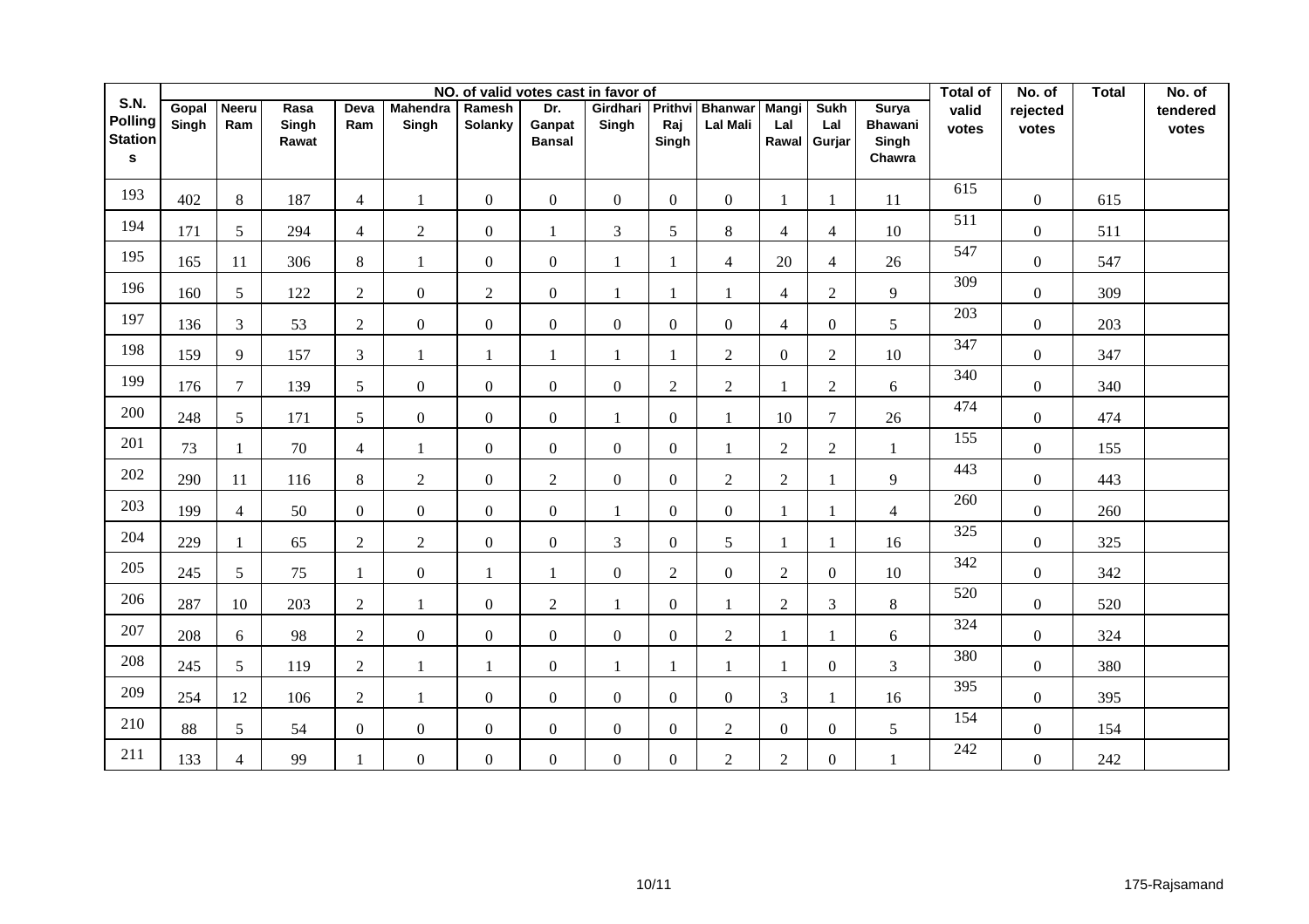|                                                                 |                | NO. of valid votes cast in favor of |                        |                 |                          |                   |                                |                           |                |                            |                       |                              |                                                   |                  | No. of            | <b>Total</b> | No. of            |
|-----------------------------------------------------------------|----------------|-------------------------------------|------------------------|-----------------|--------------------------|-------------------|--------------------------------|---------------------------|----------------|----------------------------|-----------------------|------------------------------|---------------------------------------------------|------------------|-------------------|--------------|-------------------|
| <b>S.N.</b><br><b>Polling</b><br><b>Station</b><br>$\mathbf{s}$ | Gopal<br>Singh | <b>Neeru</b><br>Ram                 | Rasa<br>Singh<br>Rawat | Deva<br>Ram     | <b>Mahendra</b><br>Singh | Ramesh<br>Solanky | Dr.<br>Ganpat<br><b>Bansal</b> | Girdhari Prithvi<br>Singh | Raj<br>Singh   | Bhanwar<br><b>Lal Mali</b> | Mangi<br>Lal<br>Rawal | <b>Sukh</b><br>Lal<br>Gurjar | <b>Surya</b><br><b>Bhawani</b><br>Singh<br>Chawra | valid<br>votes   | rejected<br>votes |              | tendered<br>votes |
| 193                                                             | 402            | $8\,$                               | 187                    | $\overline{4}$  | 1                        | $\overline{0}$    | $\overline{0}$                 | $\overline{0}$            | $\overline{0}$ | $\overline{0}$             | 1                     | 1                            | 11                                                | 615              | $\overline{0}$    | 615          |                   |
| 194                                                             | 171            | 5                                   | 294                    | $\overline{4}$  | $\overline{2}$           | $\mathbf{0}$      | $\mathbf{1}$                   | 3                         | 5              | 8                          | $\overline{4}$        | $\overline{4}$               | 10                                                | 511              | $\overline{0}$    | 511          |                   |
| 195                                                             | 165            | 11                                  | 306                    | 8               | 1                        | $\overline{0}$    | $\overline{0}$                 | 1                         | -1             | $\overline{4}$             | 20                    | $\overline{4}$               | 26                                                | 547              | $\overline{0}$    | 547          |                   |
| 196                                                             | 160            | 5                                   | 122                    | 2               | $\overline{0}$           | $\overline{2}$    | $\overline{0}$                 | $\mathbf{1}$              | $\mathbf{1}$   | $\mathbf{1}$               | $\overline{4}$        | $\overline{2}$               | 9                                                 | 309              | $\overline{0}$    | 309          |                   |
| 197                                                             | 136            | 3                                   | 53                     | $\overline{2}$  | $\boldsymbol{0}$         | $\boldsymbol{0}$  | $\overline{0}$                 | $\boldsymbol{0}$          | $\overline{0}$ | $\overline{0}$             | $\overline{4}$        | $\overline{0}$               | 5                                                 | 203              | $\overline{0}$    | 203          |                   |
| 198                                                             | 159            | 9                                   | 157                    | $\mathfrak{Z}$  | $\mathbf{1}$             | $\mathbf{1}$      | $\mathbf{1}$                   | $\mathbf{1}$              | $\mathbf{1}$   | 2                          | $\overline{0}$        | $\overline{2}$               | 10                                                | 347              | $\overline{0}$    | 347          |                   |
| 199                                                             | 176            | $\overline{7}$                      | 139                    | $5\overline{)}$ | $\overline{0}$           | $\mathbf{0}$      | $\mathbf{0}$                   | $\boldsymbol{0}$          | $\overline{2}$ | $\overline{2}$             |                       | $\overline{2}$               | 6                                                 | 340              | $\overline{0}$    | 340          |                   |
| 200                                                             | 248            | $5\overline{)}$                     | 171                    | 5 <sup>5</sup>  | $\overline{0}$           | $\boldsymbol{0}$  | $\overline{0}$                 | $\mathbf{1}$              | $\Omega$       | $\mathbf{1}$               | 10                    | $\overline{7}$               | 26                                                | 474              | $\overline{0}$    | 474          |                   |
| 201                                                             | 73             | $\mathbf{1}$                        | 70                     | $\overline{4}$  | $\mathbf{1}$             | $\overline{0}$    | $\overline{0}$                 | $\overline{0}$            | $\overline{0}$ | $\mathbf{1}$               | $\overline{2}$        | $\overline{2}$               | 1                                                 | 155              | $\overline{0}$    | 155          |                   |
| 202                                                             | 290            | 11                                  | 116                    | 8               | $\sqrt{2}$               | $\mathbf{0}$      | $\overline{2}$                 | $\boldsymbol{0}$          | $\overline{0}$ | $\overline{2}$             | $\overline{2}$        | $\mathbf{1}$                 | 9                                                 | 443              | $\overline{0}$    | 443          |                   |
| 203                                                             | 199            | $\overline{4}$                      | 50                     | $\Omega$        | $\overline{0}$           | $\boldsymbol{0}$  | $\overline{0}$                 | 1                         | $\Omega$       | $\overline{0}$             |                       | 1                            | $\overline{4}$                                    | 260              | $\overline{0}$    | 260          |                   |
| 204                                                             | 229            | $\mathbf{1}$                        | 65                     | 2               | $\overline{2}$           | $\mathbf{0}$      | $\overline{0}$                 | $\overline{3}$            | $\Omega$       | 5                          |                       | $\mathbf{1}$                 | 16                                                | $\overline{325}$ | $\overline{0}$    | 325          |                   |
| 205                                                             | 245            | 5                                   | 75                     | -1              | $\boldsymbol{0}$         | $\mathbf{1}$      | 1                              | $\mathbf{0}$              | $\overline{2}$ | $\overline{0}$             | $\sqrt{2}$            | $\overline{0}$               | 10                                                | 342              | $\overline{0}$    | 342          |                   |
| 206                                                             | 287            | 10                                  | 203                    | $\overline{2}$  | 1                        | $\boldsymbol{0}$  | $\overline{2}$                 | 1                         | $\Omega$       |                            | 2                     | 3                            | 8                                                 | 520              | $\overline{0}$    | 520          |                   |
| 207                                                             | 208            | 6                                   | 98                     | $\overline{2}$  | $\boldsymbol{0}$         | $\mathbf{0}$      | $\mathbf{0}$                   | $\mathbf{0}$              | $\overline{0}$ | $\overline{2}$             |                       | $\mathbf{1}$                 | 6                                                 | 324              | $\overline{0}$    | 324          |                   |
| 208                                                             | 245            | 5 <sup>5</sup>                      | 119                    | $\overline{2}$  | $\mathbf{1}$             | 1                 | $\overline{0}$                 | 1                         | $\mathbf{1}$   | $\mathbf{1}$               | 1                     | $\overline{0}$               | $\mathfrak{Z}$                                    | 380              | $\mathbf{0}$      | 380          |                   |
| 209                                                             | 254            | 12                                  | 106                    | $\overline{2}$  | 1                        | $\boldsymbol{0}$  | $\overline{0}$                 | $\boldsymbol{0}$          | $\overline{0}$ | $\overline{0}$             | $\mathfrak{Z}$        | $\mathbf{1}$                 | 16                                                | 395              | $\overline{0}$    | 395          |                   |
| 210                                                             | 88             | 5 <sup>5</sup>                      | 54                     | $\overline{0}$  | $\overline{0}$           | $\boldsymbol{0}$  | $\mathbf{0}$                   | $\boldsymbol{0}$          | $\overline{0}$ | $\overline{2}$             | $\overline{0}$        | $\boldsymbol{0}$             | $\mathfrak{S}$                                    | 154              | $\overline{0}$    | 154          |                   |
| 211                                                             | 133            | $\overline{4}$                      | 99                     |                 | $\boldsymbol{0}$         | $\boldsymbol{0}$  | $\overline{0}$                 | $\boldsymbol{0}$          | $\overline{0}$ | $\mathfrak{2}$             | $\overline{2}$        | $\overline{0}$               | $\mathbf{1}$                                      | 242              | $\mathbf{0}$      | 242          |                   |